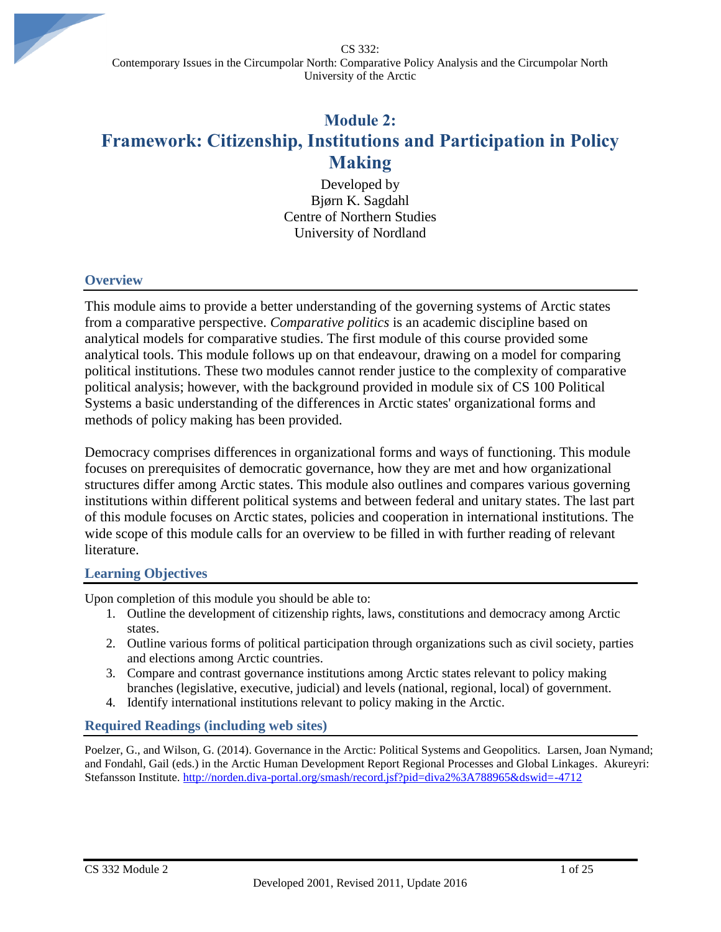CS 332: Contemporary Issues in the Circumpolar North: Comparative Policy Analysis and the Circumpolar North University of the Arctic

# **Module 2: Framework: Citizenship, Institutions and Participation in Policy Making**

Developed by Bjørn K. Sagdahl Centre of Northern Studies University of Nordland

#### **Overview**

This module aims to provide a better understanding of the governing systems of Arctic states from a comparative perspective. *Comparative politics* is an academic discipline based on analytical models for comparative studies. The first module of this course provided some analytical tools. This module follows up on that endeavour, drawing on a model for comparing political institutions. These two modules cannot render justice to the complexity of comparative political analysis; however, with the background provided in module six of CS 100 Political Systems a basic understanding of the differences in Arctic states' organizational forms and methods of policy making has been provided.

Democracy comprises differences in organizational forms and ways of functioning. This module focuses on prerequisites of democratic governance, how they are met and how organizational structures differ among Arctic states. This module also outlines and compares various governing institutions within different political systems and between federal and unitary states. The last part of this module focuses on Arctic states, policies and cooperation in international institutions. The wide scope of this module calls for an overview to be filled in with further reading of relevant literature.

#### **Learning Objectives**

Upon completion of this module you should be able to:

- 1. Outline the development of citizenship rights, laws, constitutions and democracy among Arctic states.
- 2. Outline various forms of political participation through organizations such as civil society, parties and elections among Arctic countries.
- 3. Compare and contrast governance institutions among Arctic states relevant to policy making branches (legislative, executive, judicial) and levels (national, regional, local) of government.
- 4. Identify international institutions relevant to policy making in the Arctic.

#### **Required Readings (including web sites)**

Poelzer, G., and Wilson, G. (2014). Governance in the Arctic: Political Systems and Geopolitics. Larsen, Joan Nymand; and Fondahl, Gail (eds.) in the Arctic Human Development Report Regional Processes and Global Linkages. Akureyri: Stefansson Institute. [http://norden.diva-portal.org/smash/record.jsf?pid=diva2%3A788965&dswid=-4712](http://norden.diva-portal.org/smash/record.jsf?pid=diva2%3A788965&dswid=-4712%20)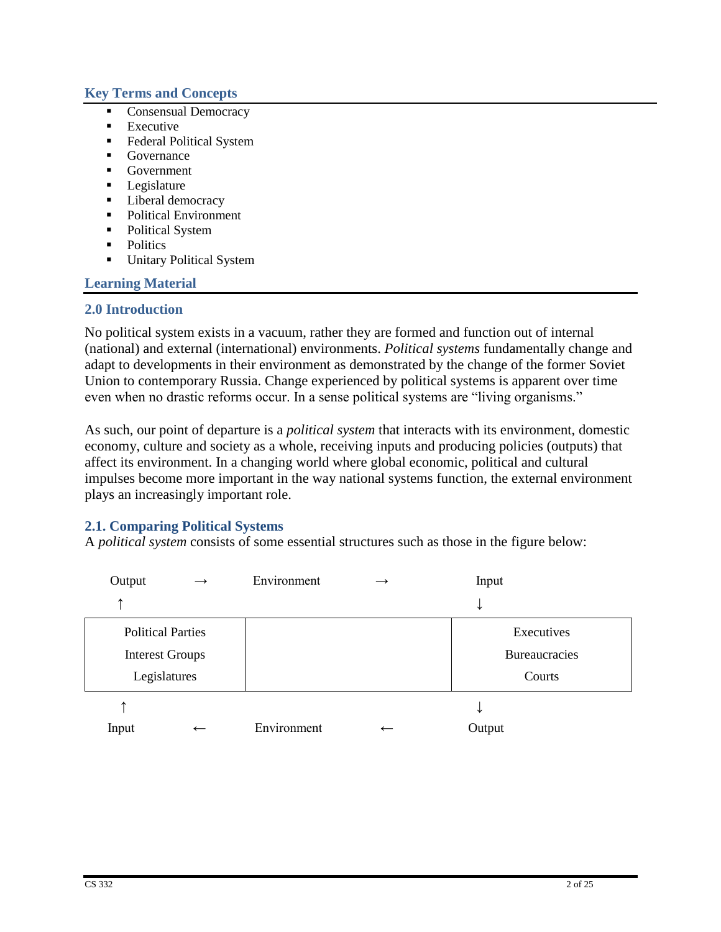### **Key Terms and Concepts**

- Consensual Democracy
- $\blacksquare$  Executive
- **Federal Political System**
- Governance
- Government
- **Legislature**
- **Liberal democracy**
- Political Environment
- Political System
- Politics
- **Unitary Political System**

### **Learning Material**

#### **2.0 Introduction**

No political system exists in a vacuum, rather they are formed and function out of internal (national) and external (international) environments. *Political systems* fundamentally change and adapt to developments in their environment as demonstrated by the change of the former Soviet Union to contemporary Russia. Change experienced by political systems is apparent over time even when no drastic reforms occur. In a sense political systems are "living organisms."

As such, our point of departure is a *political system* that interacts with its environment, domestic economy, culture and society as a whole, receiving inputs and producing policies (outputs) that affect its environment. In a changing world where global economic, political and cultural impulses become more important in the way national systems function, the external environment plays an increasingly important role.

### **2.1. Comparing Political Systems**

A *political system* consists of some essential structures such as those in the figure below:

| Output                   | $\rightarrow$            | Environment | $\rightarrow$            | Input                |  |
|--------------------------|--------------------------|-------------|--------------------------|----------------------|--|
| ᠰ                        |                          |             |                          | ↞                    |  |
| <b>Political Parties</b> |                          |             |                          | Executives           |  |
| <b>Interest Groups</b>   |                          |             |                          | <b>Bureaucracies</b> |  |
| Legislatures             |                          |             |                          | Courts               |  |
| ᠰ                        |                          |             |                          | ◡                    |  |
| Input                    | $\overline{\phantom{m}}$ | Environment | $\overline{\phantom{m}}$ | Output               |  |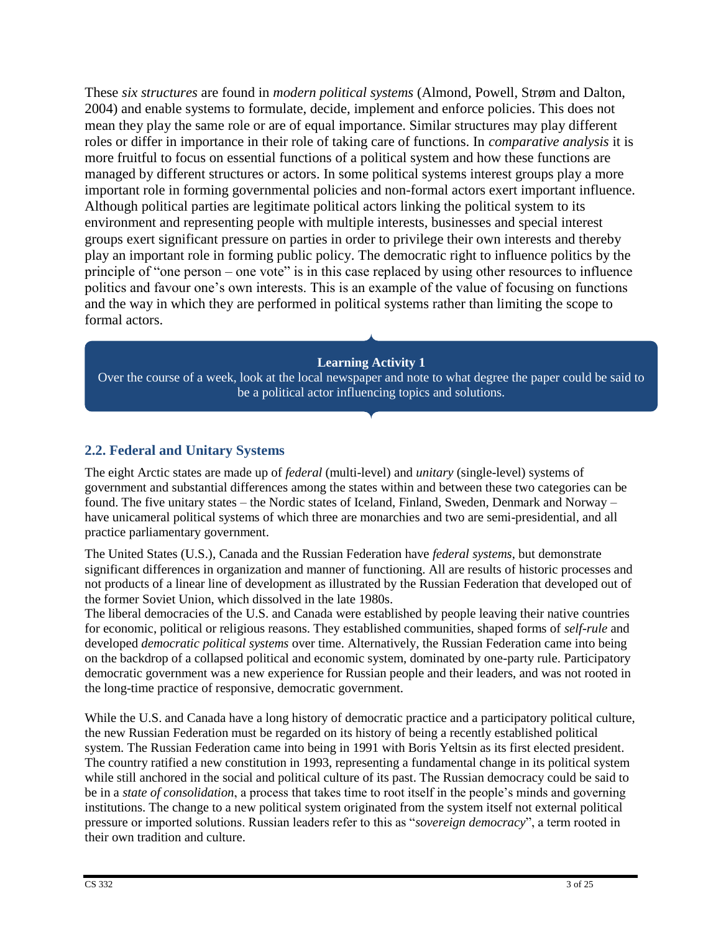These *six structures* are found in *modern political systems* (Almond, Powell, Strøm and Dalton, 2004) and enable systems to formulate, decide, implement and enforce policies. This does not mean they play the same role or are of equal importance. Similar structures may play different roles or differ in importance in their role of taking care of functions. In *comparative analysis* it is more fruitful to focus on essential functions of a political system and how these functions are managed by different structures or actors. In some political systems interest groups play a more important role in forming governmental policies and non-formal actors exert important influence. Although political parties are legitimate political actors linking the political system to its environment and representing people with multiple interests, businesses and special interest groups exert significant pressure on parties in order to privilege their own interests and thereby play an important role in forming public policy. The democratic right to influence politics by the principle of "one person – one vote" is in this case replaced by using other resources to influence politics and favour one's own interests. This is an example of the value of focusing on functions and the way in which they are performed in political systems rather than limiting the scope to formal actors.

### **Learning Activity 1**

Over the course of a week, look at the local newspaper and note to what degree the paper could be said to be a political actor influencing topics and solutions.

### **2.2. Federal and Unitary Systems**

The eight Arctic states are made up of *federal* (multi-level) and *unitary* (single-level) systems of government and substantial differences among the states within and between these two categories can be found. The five unitary states – the Nordic states of Iceland, Finland, Sweden, Denmark and Norway – have unicameral political systems of which three are monarchies and two are semi-presidential, and all practice parliamentary government.

The United States (U.S.), Canada and the Russian Federation have *federal systems*, but demonstrate significant differences in organization and manner of functioning. All are results of historic processes and not products of a linear line of development as illustrated by the Russian Federation that developed out of the former Soviet Union, which dissolved in the late 1980s.

The liberal democracies of the U.S. and Canada were established by people leaving their native countries for economic, political or religious reasons. They established communities, shaped forms of *self-rule* and developed *democratic political systems* over time. Alternatively, the Russian Federation came into being on the backdrop of a collapsed political and economic system, dominated by one-party rule. Participatory democratic government was a new experience for Russian people and their leaders, and was not rooted in the long-time practice of responsive, democratic government.

While the U.S. and Canada have a long history of democratic practice and a participatory political culture, the new Russian Federation must be regarded on its history of being a recently established political system. The Russian Federation came into being in 1991 with Boris Yeltsin as its first elected president. The country ratified a new constitution in 1993, representing a fundamental change in its political system while still anchored in the social and political culture of its past. The Russian democracy could be said to be in a *state of consolidation*, a process that takes time to root itself in the people's minds and governing institutions. The change to a new political system originated from the system itself not external political pressure or imported solutions. Russian leaders refer to this as "*sovereign democracy*", a term rooted in their own tradition and culture.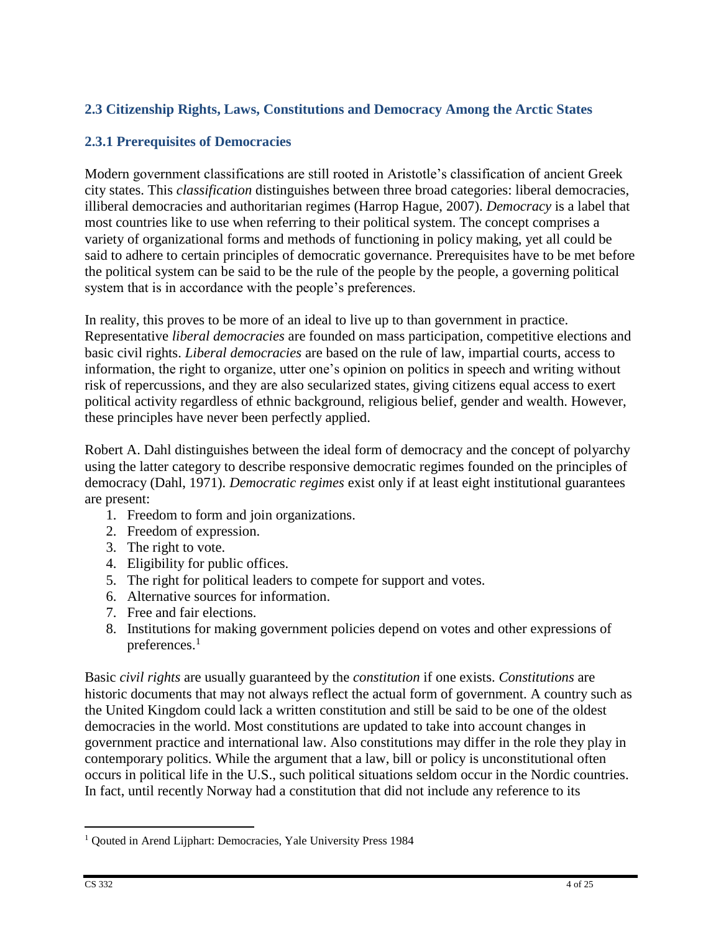# **2.3 Citizenship Rights, Laws, Constitutions and Democracy Among the Arctic States**

# **2.3.1 Prerequisites of Democracies**

Modern government classifications are still rooted in Aristotle's classification of ancient Greek city states. This *classification* distinguishes between three broad categories: liberal democracies, illiberal democracies and authoritarian regimes (Harrop Hague, 2007). *Democracy* is a label that most countries like to use when referring to their political system. The concept comprises a variety of organizational forms and methods of functioning in policy making, yet all could be said to adhere to certain principles of democratic governance. Prerequisites have to be met before the political system can be said to be the rule of the people by the people, a governing political system that is in accordance with the people's preferences.

In reality, this proves to be more of an ideal to live up to than government in practice. Representative *liberal democracies* are founded on mass participation, competitive elections and basic civil rights. *Liberal democracies* are based on the rule of law, impartial courts, access to information, the right to organize, utter one's opinion on politics in speech and writing without risk of repercussions, and they are also secularized states, giving citizens equal access to exert political activity regardless of ethnic background, religious belief, gender and wealth. However, these principles have never been perfectly applied.

Robert A. Dahl distinguishes between the ideal form of democracy and the concept of polyarchy using the latter category to describe responsive democratic regimes founded on the principles of democracy (Dahl, 1971). *Democratic regimes* exist only if at least eight institutional guarantees are present:

- 1. Freedom to form and join organizations.
- 2. Freedom of expression.
- 3. The right to vote.
- 4. Eligibility for public offices.
- 5. The right for political leaders to compete for support and votes.
- 6. Alternative sources for information.
- 7. Free and fair elections.
- 8. Institutions for making government policies depend on votes and other expressions of preferences.<sup>1</sup>

Basic *civil rights* are usually guaranteed by the *constitution* if one exists. *Constitutions* are historic documents that may not always reflect the actual form of government. A country such as the United Kingdom could lack a written constitution and still be said to be one of the oldest democracies in the world. Most constitutions are updated to take into account changes in government practice and international law. Also constitutions may differ in the role they play in contemporary politics. While the argument that a law, bill or policy is unconstitutional often occurs in political life in the U.S., such political situations seldom occur in the Nordic countries. In fact, until recently Norway had a constitution that did not include any reference to its

<sup>&</sup>lt;sup>1</sup> Qouted in Arend Lijphart: Democracies, Yale University Press 1984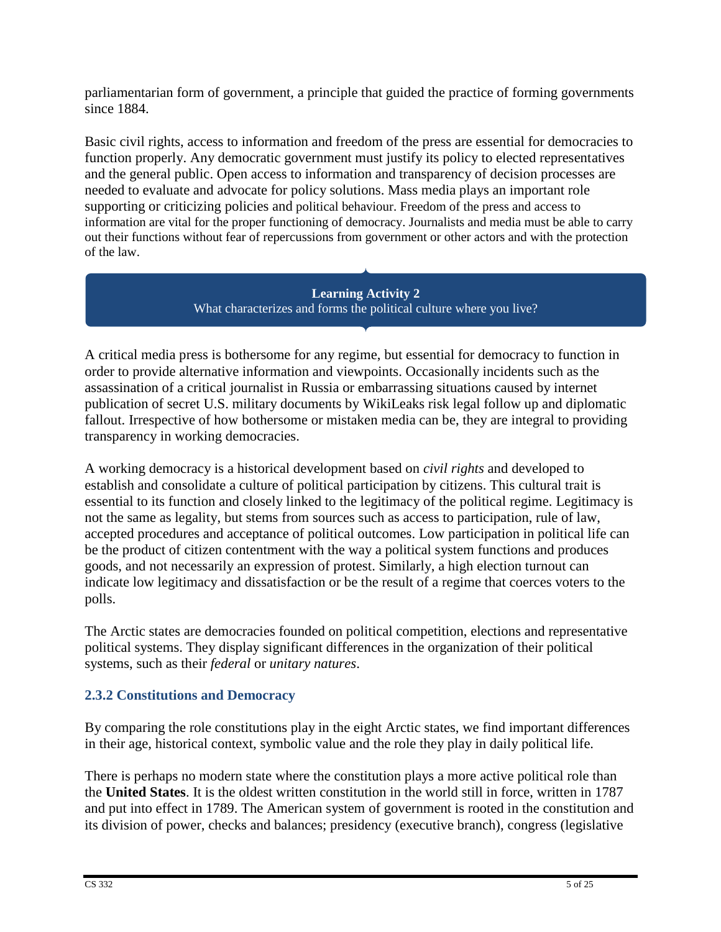parliamentarian form of government, a principle that guided the practice of forming governments since 1884.

Basic civil rights, access to information and freedom of the press are essential for democracies to function properly. Any democratic government must justify its policy to elected representatives and the general public. Open access to information and transparency of decision processes are needed to evaluate and advocate for policy solutions. Mass media plays an important role supporting or criticizing policies and political behaviour. Freedom of the press and access to information are vital for the proper functioning of democracy. Journalists and media must be able to carry out their functions without fear of repercussions from government or other actors and with the protection of the law.

> **Learning Activity 2** What characterizes and forms the political culture where you live?

A critical media press is bothersome for any regime, but essential for democracy to function in order to provide alternative information and viewpoints. Occasionally incidents such as the assassination of a critical journalist in Russia or embarrassing situations caused by internet publication of secret U.S. military documents by WikiLeaks risk legal follow up and diplomatic fallout. Irrespective of how bothersome or mistaken media can be, they are integral to providing transparency in working democracies.

A working democracy is a historical development based on *civil rights* and developed to establish and consolidate a culture of political participation by citizens. This cultural trait is essential to its function and closely linked to the legitimacy of the political regime. Legitimacy is not the same as legality, but stems from sources such as access to participation, rule of law, accepted procedures and acceptance of political outcomes. Low participation in political life can be the product of citizen contentment with the way a political system functions and produces goods, and not necessarily an expression of protest. Similarly, a high election turnout can indicate low legitimacy and dissatisfaction or be the result of a regime that coerces voters to the polls.

The Arctic states are democracies founded on political competition, elections and representative political systems. They display significant differences in the organization of their political systems, such as their *federal* or *unitary natures*.

# **2.3.2 Constitutions and Democracy**

By comparing the role constitutions play in the eight Arctic states, we find important differences in their age, historical context, symbolic value and the role they play in daily political life.

There is perhaps no modern state where the constitution plays a more active political role than the **United States**. It is the oldest written constitution in the world still in force, written in 1787 and put into effect in 1789. The American system of government is rooted in the constitution and its division of power, checks and balances; presidency (executive branch), congress (legislative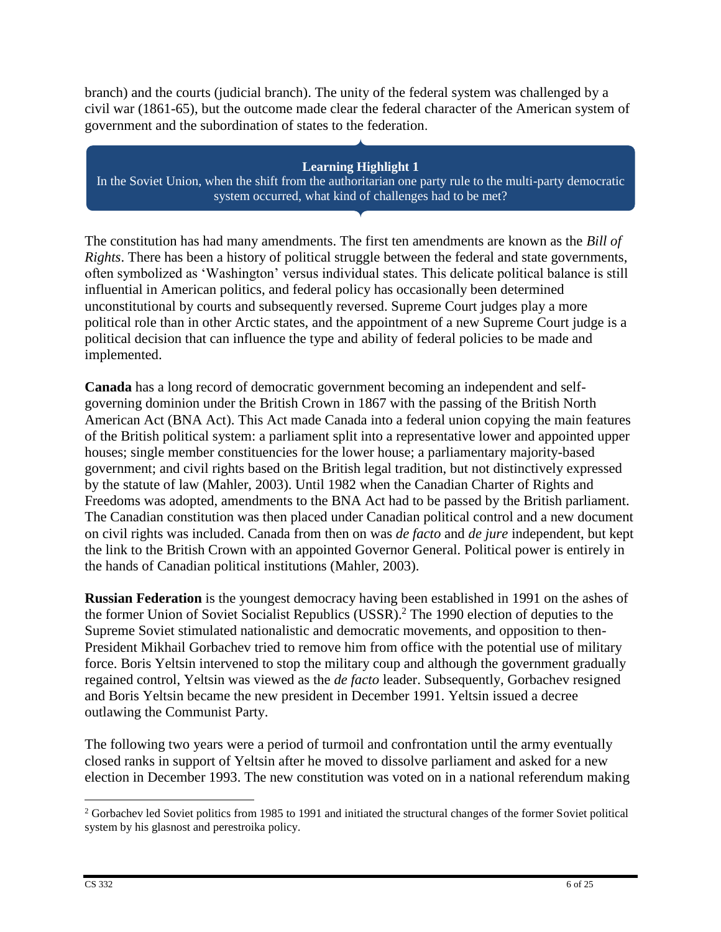branch) and the courts (judicial branch). The unity of the federal system was challenged by a civil war (1861-65), but the outcome made clear the federal character of the American system of government and the subordination of states to the federation.

**Learning Highlight 1** In the Soviet Union, when the shift from the authoritarian one party rule to the multi-party democratic system occurred, what kind of challenges had to be met?

The constitution has had many amendments. The first ten amendments are known as the *Bill of Rights*. There has been a history of political struggle between the federal and state governments, often symbolized as 'Washington' versus individual states. This delicate political balance is still influential in American politics, and federal policy has occasionally been determined unconstitutional by courts and subsequently reversed. Supreme Court judges play a more political role than in other Arctic states, and the appointment of a new Supreme Court judge is a political decision that can influence the type and ability of federal policies to be made and implemented.

**Canada** has a long record of democratic government becoming an independent and selfgoverning dominion under the British Crown in 1867 with the passing of the British North American Act (BNA Act). This Act made Canada into a federal union copying the main features of the British political system: a parliament split into a representative lower and appointed upper houses; single member constituencies for the lower house; a parliamentary majority-based government; and civil rights based on the British legal tradition, but not distinctively expressed by the statute of law (Mahler, 2003). Until 1982 when the Canadian Charter of Rights and Freedoms was adopted, amendments to the BNA Act had to be passed by the British parliament. The Canadian constitution was then placed under Canadian political control and a new document on civil rights was included. Canada from then on was *de facto* and *de jure* independent, but kept the link to the British Crown with an appointed Governor General. Political power is entirely in the hands of Canadian political institutions (Mahler, 2003).

**Russian Federation** is the youngest democracy having been established in 1991 on the ashes of the former Union of Soviet Socialist Republics (USSR).<sup>2</sup> The 1990 election of deputies to the Supreme Soviet stimulated nationalistic and democratic movements, and opposition to then-President Mikhail Gorbachev tried to remove him from office with the potential use of military force. Boris Yeltsin intervened to stop the military coup and although the government gradually regained control, Yeltsin was viewed as the *de facto* leader. Subsequently, Gorbachev resigned and Boris Yeltsin became the new president in December 1991. Yeltsin issued a decree outlawing the Communist Party.

The following two years were a period of turmoil and confrontation until the army eventually closed ranks in support of Yeltsin after he moved to dissolve parliament and asked for a new election in December 1993. The new constitution was voted on in a national referendum making

 $\overline{a}$ <sup>2</sup> Gorbachev led Soviet politics from 1985 to 1991 and initiated the structural changes of the former Soviet political system by his glasnost and perestroika policy.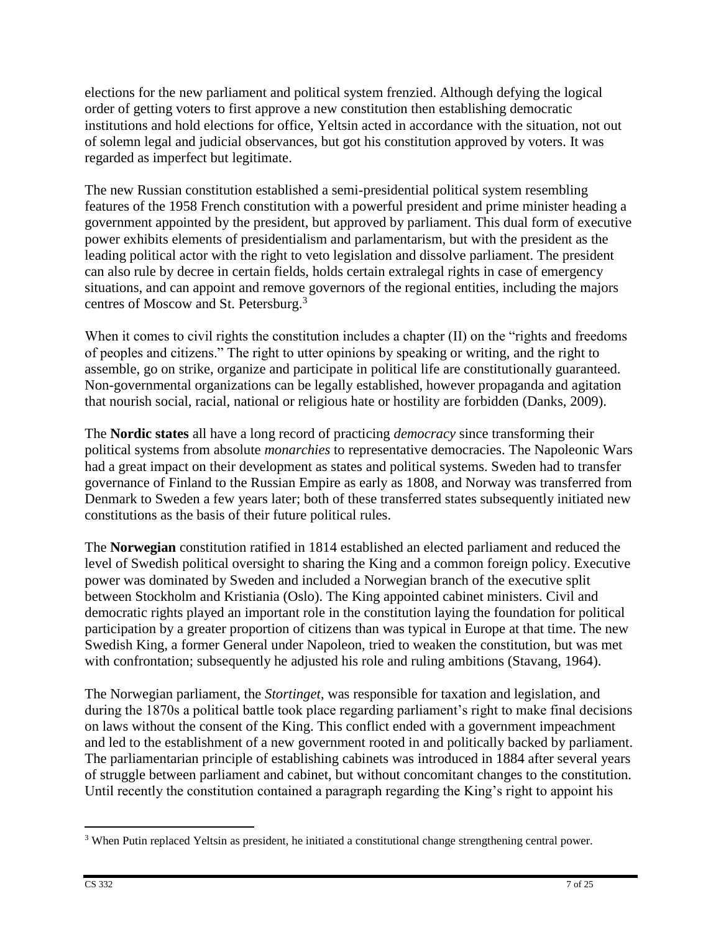elections for the new parliament and political system frenzied. Although defying the logical order of getting voters to first approve a new constitution then establishing democratic institutions and hold elections for office, Yeltsin acted in accordance with the situation, not out of solemn legal and judicial observances, but got his constitution approved by voters. It was regarded as imperfect but legitimate.

The new Russian constitution established a semi-presidential political system resembling features of the 1958 French constitution with a powerful president and prime minister heading a government appointed by the president, but approved by parliament. This dual form of executive power exhibits elements of presidentialism and parlamentarism, but with the president as the leading political actor with the right to veto legislation and dissolve parliament. The president can also rule by decree in certain fields, holds certain extralegal rights in case of emergency situations, and can appoint and remove governors of the regional entities, including the majors centres of Moscow and St. Petersburg.<sup>3</sup>

When it comes to civil rights the constitution includes a chapter (II) on the "rights and freedoms of peoples and citizens." The right to utter opinions by speaking or writing, and the right to assemble, go on strike, organize and participate in political life are constitutionally guaranteed. Non-governmental organizations can be legally established, however propaganda and agitation that nourish social, racial, national or religious hate or hostility are forbidden (Danks, 2009).

The **Nordic states** all have a long record of practicing *democracy* since transforming their political systems from absolute *monarchies* to representative democracies. The Napoleonic Wars had a great impact on their development as states and political systems. Sweden had to transfer governance of Finland to the Russian Empire as early as 1808, and Norway was transferred from Denmark to Sweden a few years later; both of these transferred states subsequently initiated new constitutions as the basis of their future political rules.

The **Norwegian** constitution ratified in 1814 established an elected parliament and reduced the level of Swedish political oversight to sharing the King and a common foreign policy. Executive power was dominated by Sweden and included a Norwegian branch of the executive split between Stockholm and Kristiania (Oslo). The King appointed cabinet ministers. Civil and democratic rights played an important role in the constitution laying the foundation for political participation by a greater proportion of citizens than was typical in Europe at that time. The new Swedish King, a former General under Napoleon, tried to weaken the constitution, but was met with confrontation; subsequently he adjusted his role and ruling ambitions (Stavang, 1964).

The Norwegian parliament, the *Stortinget*, was responsible for taxation and legislation, and during the 1870s a political battle took place regarding parliament's right to make final decisions on laws without the consent of the King. This conflict ended with a government impeachment and led to the establishment of a new government rooted in and politically backed by parliament. The parliamentarian principle of establishing cabinets was introduced in 1884 after several years of struggle between parliament and cabinet, but without concomitant changes to the constitution. Until recently the constitution contained a paragraph regarding the King's right to appoint his

 $\overline{a}$ <sup>3</sup> When Putin replaced Yeltsin as president, he initiated a constitutional change strengthening central power.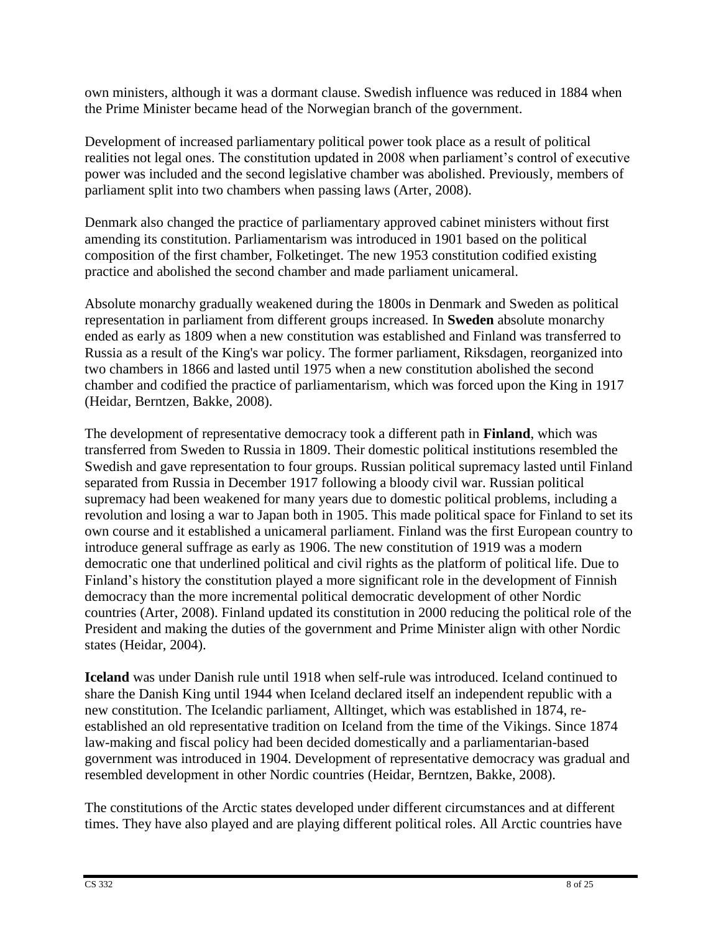own ministers, although it was a dormant clause. Swedish influence was reduced in 1884 when the Prime Minister became head of the Norwegian branch of the government.

Development of increased parliamentary political power took place as a result of political realities not legal ones. The constitution updated in 2008 when parliament's control of executive power was included and the second legislative chamber was abolished. Previously, members of parliament split into two chambers when passing laws (Arter, 2008).

Denmark also changed the practice of parliamentary approved cabinet ministers without first amending its constitution. Parliamentarism was introduced in 1901 based on the political composition of the first chamber, Folketinget. The new 1953 constitution codified existing practice and abolished the second chamber and made parliament unicameral.

Absolute monarchy gradually weakened during the 1800s in Denmark and Sweden as political representation in parliament from different groups increased. In **Sweden** absolute monarchy ended as early as 1809 when a new constitution was established and Finland was transferred to Russia as a result of the King's war policy. The former parliament, Riksdagen, reorganized into two chambers in 1866 and lasted until 1975 when a new constitution abolished the second chamber and codified the practice of parliamentarism, which was forced upon the King in 1917 (Heidar, Berntzen, Bakke, 2008).

The development of representative democracy took a different path in **Finland**, which was transferred from Sweden to Russia in 1809. Their domestic political institutions resembled the Swedish and gave representation to four groups. Russian political supremacy lasted until Finland separated from Russia in December 1917 following a bloody civil war. Russian political supremacy had been weakened for many years due to domestic political problems, including a revolution and losing a war to Japan both in 1905. This made political space for Finland to set its own course and it established a unicameral parliament. Finland was the first European country to introduce general suffrage as early as 1906. The new constitution of 1919 was a modern democratic one that underlined political and civil rights as the platform of political life. Due to Finland's history the constitution played a more significant role in the development of Finnish democracy than the more incremental political democratic development of other Nordic countries (Arter, 2008). Finland updated its constitution in 2000 reducing the political role of the President and making the duties of the government and Prime Minister align with other Nordic states (Heidar, 2004).

**Iceland** was under Danish rule until 1918 when self-rule was introduced. Iceland continued to share the Danish King until 1944 when Iceland declared itself an independent republic with a new constitution. The Icelandic parliament, Alltinget, which was established in 1874, reestablished an old representative tradition on Iceland from the time of the Vikings. Since 1874 law-making and fiscal policy had been decided domestically and a parliamentarian-based government was introduced in 1904. Development of representative democracy was gradual and resembled development in other Nordic countries (Heidar, Berntzen, Bakke, 2008).

The constitutions of the Arctic states developed under different circumstances and at different times. They have also played and are playing different political roles. All Arctic countries have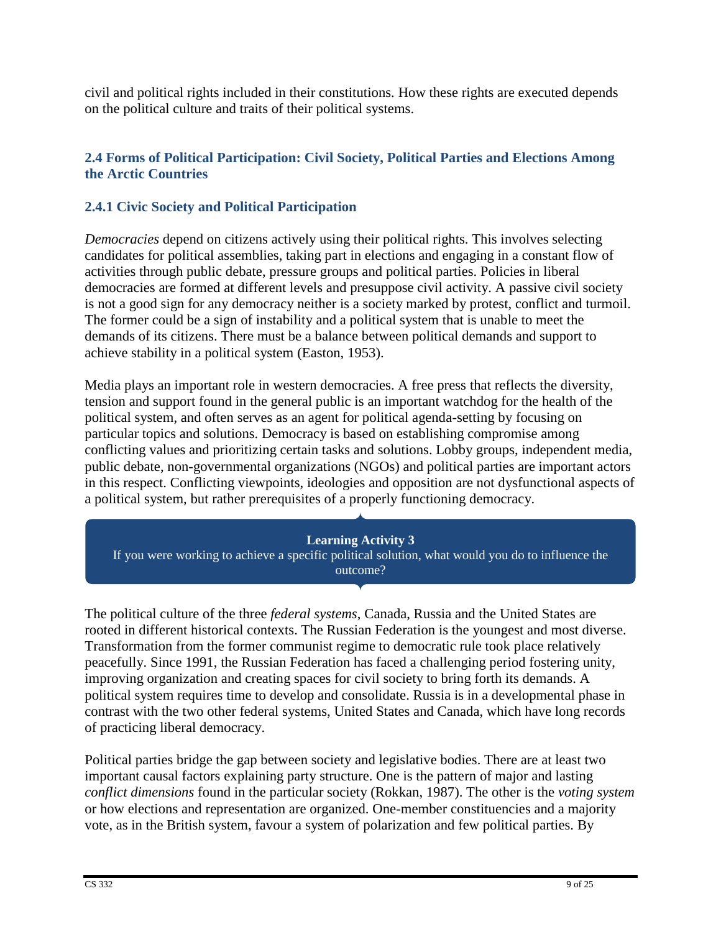civil and political rights included in their constitutions. How these rights are executed depends on the political culture and traits of their political systems.

# **2.4 Forms of Political Participation: Civil Society, Political Parties and Elections Among the Arctic Countries**

# **2.4.1 Civic Society and Political Participation**

*Democracies* depend on citizens actively using their political rights. This involves selecting candidates for political assemblies, taking part in elections and engaging in a constant flow of activities through public debate, pressure groups and political parties. Policies in liberal democracies are formed at different levels and presuppose civil activity. A passive civil society is not a good sign for any democracy neither is a society marked by protest, conflict and turmoil. The former could be a sign of instability and a political system that is unable to meet the demands of its citizens. There must be a balance between political demands and support to achieve stability in a political system (Easton, 1953).

Media plays an important role in western democracies. A free press that reflects the diversity, tension and support found in the general public is an important watchdog for the health of the political system, and often serves as an agent for political agenda-setting by focusing on particular topics and solutions. Democracy is based on establishing compromise among conflicting values and prioritizing certain tasks and solutions. Lobby groups, independent media, public debate, non-governmental organizations (NGOs) and political parties are important actors in this respect. Conflicting viewpoints, ideologies and opposition are not dysfunctional aspects of a political system, but rather prerequisites of a properly functioning democracy.

### **Learning Activity 3**

If you were working to achieve a specific political solution, what would you do to influence the outcome?

The political culture of the three *federal systems*, Canada, Russia and the United States are rooted in different historical contexts. The Russian Federation is the youngest and most diverse. Transformation from the former communist regime to democratic rule took place relatively peacefully. Since 1991, the Russian Federation has faced a challenging period fostering unity, improving organization and creating spaces for civil society to bring forth its demands. A political system requires time to develop and consolidate. Russia is in a developmental phase in contrast with the two other federal systems, United States and Canada, which have long records of practicing liberal democracy.

Political parties bridge the gap between society and legislative bodies. There are at least two important causal factors explaining party structure. One is the pattern of major and lasting *conflict dimensions* found in the particular society (Rokkan, 1987). The other is the *voting system* or how elections and representation are organized. One-member constituencies and a majority vote, as in the British system, favour a system of polarization and few political parties. By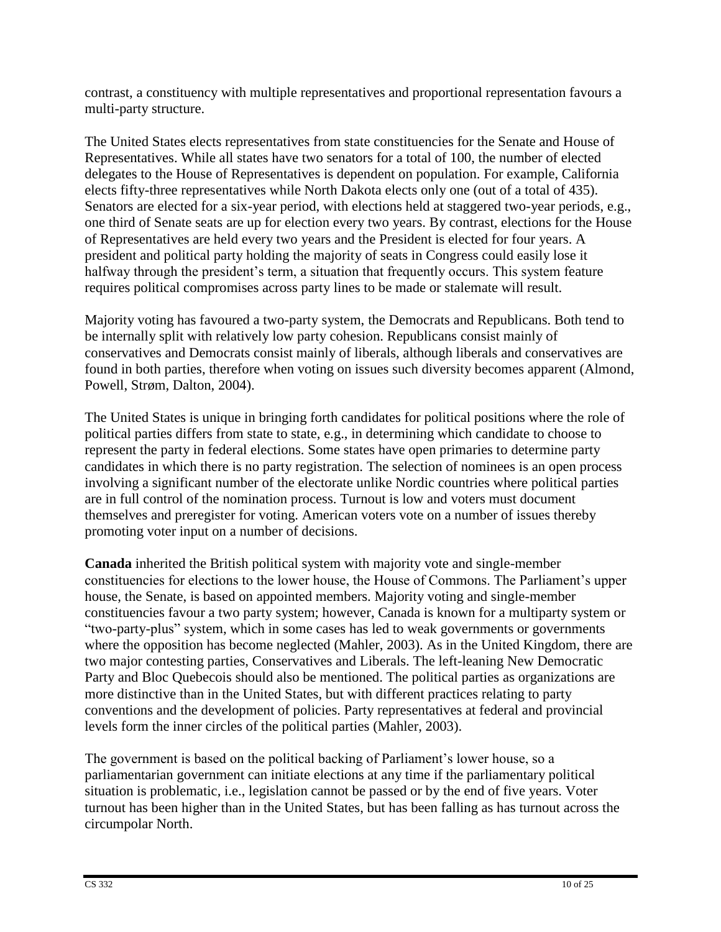contrast, a constituency with multiple representatives and proportional representation favours a multi-party structure.

The United States elects representatives from state constituencies for the Senate and House of Representatives. While all states have two senators for a total of 100, the number of elected delegates to the House of Representatives is dependent on population. For example, California elects fifty-three representatives while North Dakota elects only one (out of a total of 435). Senators are elected for a six-year period, with elections held at staggered two-year periods, e.g., one third of Senate seats are up for election every two years. By contrast, elections for the House of Representatives are held every two years and the President is elected for four years. A president and political party holding the majority of seats in Congress could easily lose it halfway through the president's term, a situation that frequently occurs. This system feature requires political compromises across party lines to be made or stalemate will result.

Majority voting has favoured a two-party system, the Democrats and Republicans. Both tend to be internally split with relatively low party cohesion. Republicans consist mainly of conservatives and Democrats consist mainly of liberals, although liberals and conservatives are found in both parties, therefore when voting on issues such diversity becomes apparent (Almond, Powell, Strøm, Dalton, 2004).

The United States is unique in bringing forth candidates for political positions where the role of political parties differs from state to state, e.g., in determining which candidate to choose to represent the party in federal elections. Some states have open primaries to determine party candidates in which there is no party registration. The selection of nominees is an open process involving a significant number of the electorate unlike Nordic countries where political parties are in full control of the nomination process. Turnout is low and voters must document themselves and preregister for voting. American voters vote on a number of issues thereby promoting voter input on a number of decisions.

**Canada** inherited the British political system with majority vote and single-member constituencies for elections to the lower house, the House of Commons. The Parliament's upper house, the Senate, is based on appointed members. Majority voting and single-member constituencies favour a two party system; however, Canada is known for a multiparty system or "two-party-plus" system, which in some cases has led to weak governments or governments where the opposition has become neglected (Mahler, 2003). As in the United Kingdom, there are two major contesting parties, Conservatives and Liberals. The left-leaning New Democratic Party and Bloc Quebecois should also be mentioned. The political parties as organizations are more distinctive than in the United States, but with different practices relating to party conventions and the development of policies. Party representatives at federal and provincial levels form the inner circles of the political parties (Mahler, 2003).

The government is based on the political backing of Parliament's lower house, so a parliamentarian government can initiate elections at any time if the parliamentary political situation is problematic, i.e., legislation cannot be passed or by the end of five years. Voter turnout has been higher than in the United States, but has been falling as has turnout across the circumpolar North.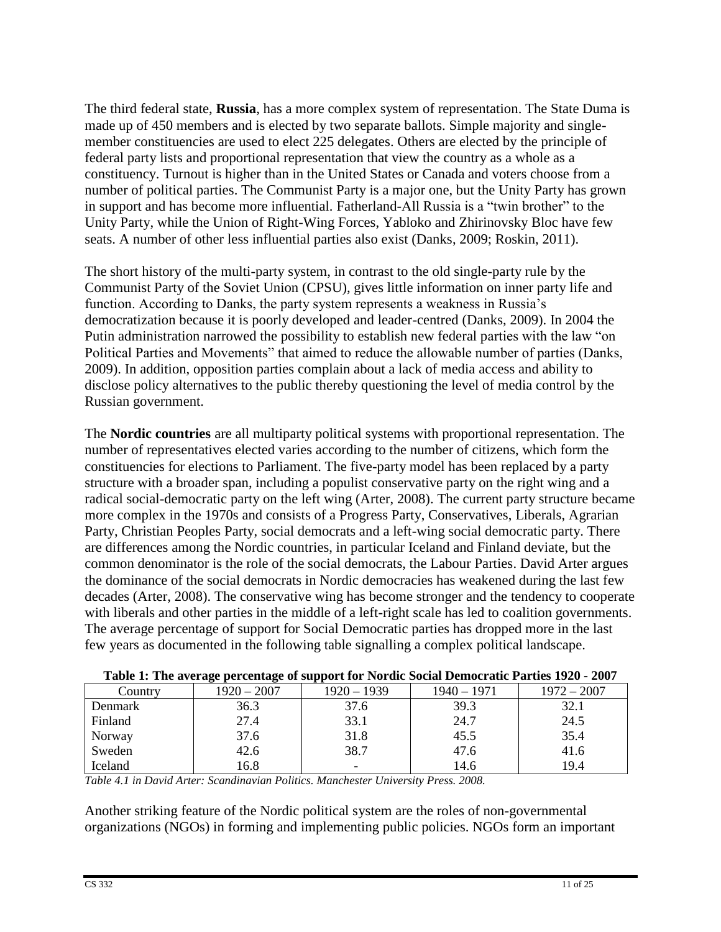The third federal state, **Russia**, has a more complex system of representation. The State Duma is made up of 450 members and is elected by two separate ballots. Simple majority and singlemember constituencies are used to elect 225 delegates. Others are elected by the principle of federal party lists and proportional representation that view the country as a whole as a constituency. Turnout is higher than in the United States or Canada and voters choose from a number of political parties. The Communist Party is a major one, but the Unity Party has grown in support and has become more influential. Fatherland-All Russia is a "twin brother" to the Unity Party, while the Union of Right-Wing Forces, Yabloko and Zhirinovsky Bloc have few seats. A number of other less influential parties also exist (Danks, 2009; Roskin, 2011).

The short history of the multi-party system, in contrast to the old single-party rule by the Communist Party of the Soviet Union (CPSU), gives little information on inner party life and function. According to Danks, the party system represents a weakness in Russia's democratization because it is poorly developed and leader-centred (Danks, 2009). In 2004 the Putin administration narrowed the possibility to establish new federal parties with the law "on Political Parties and Movements" that aimed to reduce the allowable number of parties (Danks, 2009). In addition, opposition parties complain about a lack of media access and ability to disclose policy alternatives to the public thereby questioning the level of media control by the Russian government.

The **Nordic countries** are all multiparty political systems with proportional representation. The number of representatives elected varies according to the number of citizens, which form the constituencies for elections to Parliament. The five-party model has been replaced by a party structure with a broader span, including a populist conservative party on the right wing and a radical social-democratic party on the left wing (Arter, 2008). The current party structure became more complex in the 1970s and consists of a Progress Party, Conservatives, Liberals, Agrarian Party, Christian Peoples Party, social democrats and a left-wing social democratic party. There are differences among the Nordic countries, in particular Iceland and Finland deviate, but the common denominator is the role of the social democrats, the Labour Parties. David Arter argues the dominance of the social democrats in Nordic democracies has weakened during the last few decades (Arter, 2008). The conservative wing has become stronger and the tendency to cooperate with liberals and other parties in the middle of a left-right scale has led to coalition governments. The average percentage of support for Social Democratic parties has dropped more in the last few years as documented in the following table signalling a complex political landscape.

| Table 1. The average percentage of support for two are social Definite and Farties 1720 - 2007 |               |               |               |               |  |  |
|------------------------------------------------------------------------------------------------|---------------|---------------|---------------|---------------|--|--|
| Country                                                                                        | $1920 - 2007$ | $1920 - 1939$ | $1940 - 1971$ | $1972 - 2007$ |  |  |
| <b>Denmark</b>                                                                                 | 36.3          | 37.6          | 39.3          | 32.1          |  |  |
| Finland                                                                                        | 27.4          | 33.1          | 24.7          | 24.5          |  |  |
| Norway                                                                                         | 37.6          | 31.8          | 45.5          | 35.4          |  |  |
| Sweden                                                                                         | 42.6          | 38.7          | 47.6          | 41.6          |  |  |
| Iceland                                                                                        | 16.8          | -             | 14.6          | 19.4          |  |  |

| Table 1: The average percentage of support for Nordic Social Democratic Parties 1920 - 2007 |  |  |
|---------------------------------------------------------------------------------------------|--|--|
|                                                                                             |  |  |

*Table 4.1 in David Arter: Scandinavian Politics. Manchester University Press. 2008.*

Another striking feature of the Nordic political system are the roles of non-governmental organizations (NGOs) in forming and implementing public policies. NGOs form an important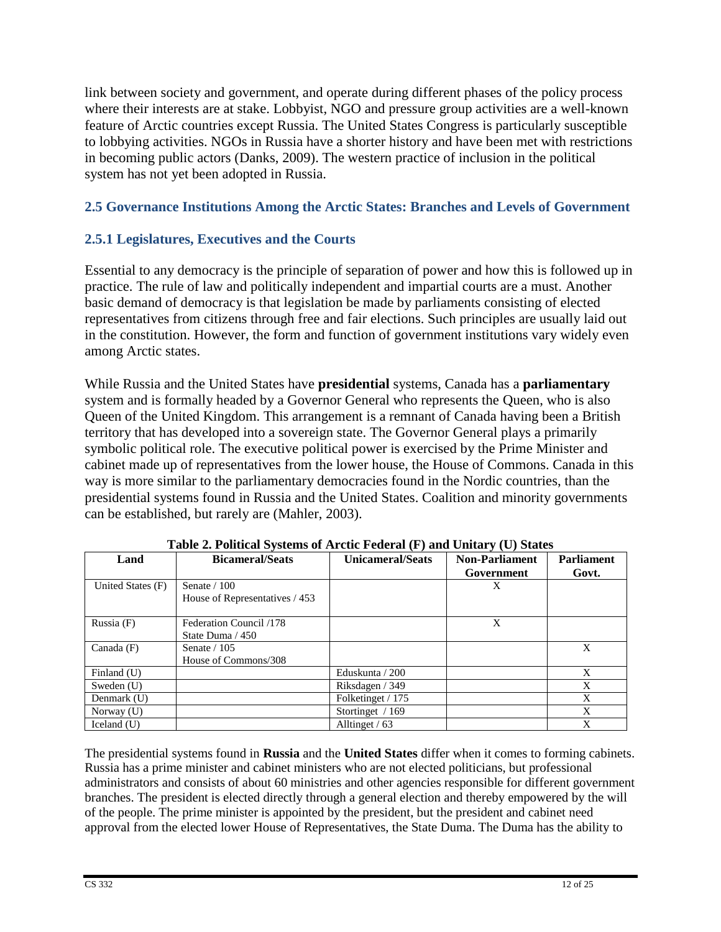link between society and government, and operate during different phases of the policy process where their interests are at stake. Lobbyist, NGO and pressure group activities are a well-known feature of Arctic countries except Russia. The United States Congress is particularly susceptible to lobbying activities. NGOs in Russia have a shorter history and have been met with restrictions in becoming public actors (Danks, 2009). The western practice of inclusion in the political system has not yet been adopted in Russia.

### **2.5 Governance Institutions Among the Arctic States: Branches and Levels of Government**

### **2.5.1 Legislatures, Executives and the Courts**

Essential to any democracy is the principle of separation of power and how this is followed up in practice. The rule of law and politically independent and impartial courts are a must. Another basic demand of democracy is that legislation be made by parliaments consisting of elected representatives from citizens through free and fair elections. Such principles are usually laid out in the constitution. However, the form and function of government institutions vary widely even among Arctic states.

While Russia and the United States have **presidential** systems, Canada has a **parliamentary** system and is formally headed by a Governor General who represents the Queen, who is also Queen of the United Kingdom. This arrangement is a remnant of Canada having been a British territory that has developed into a sovereign state. The Governor General plays a primarily symbolic political role. The executive political power is exercised by the Prime Minister and cabinet made up of representatives from the lower house, the House of Commons. Canada in this way is more similar to the parliamentary democracies found in the Nordic countries, than the presidential systems found in Russia and the United States. Coalition and minority governments can be established, but rarely are (Mahler, 2003).

| Land              | <b>Bicameral/Seats</b>         | <b>Unicameral/Seats</b> | <b>Non-Parliament</b> | <b>Parliament</b> |  |
|-------------------|--------------------------------|-------------------------|-----------------------|-------------------|--|
|                   |                                |                         | Government            | Govt.             |  |
| United States (F) | Senate $/ 100$                 |                         | X                     |                   |  |
|                   | House of Representatives / 453 |                         |                       |                   |  |
|                   |                                |                         |                       |                   |  |
| Russia $(F)$      | Federation Council /178        |                         | X                     |                   |  |
|                   | State Duma / 450               |                         |                       |                   |  |
| Canada $(F)$      | Senate $/ 105$                 |                         |                       | X                 |  |
|                   | House of Commons/308           |                         |                       |                   |  |
| Finland (U)       |                                | Eduskunta / 200         |                       | X                 |  |
| Sweden $(U)$      |                                | Riksdagen / 349         |                       | X                 |  |
| Denmark (U)       |                                | Folketinget / 175       |                       | X                 |  |
| Norway (U)        |                                | Stortinget / 169        |                       | X                 |  |
| Iceland $(U)$     |                                | Alltinget $/$ 63        |                       | X                 |  |

**Table 2. Political Systems of Arctic Federal (F) and Unitary (U) States**

The presidential systems found in **Russia** and the **United States** differ when it comes to forming cabinets. Russia has a prime minister and cabinet ministers who are not elected politicians, but professional administrators and consists of about 60 ministries and other agencies responsible for different government branches. The president is elected directly through a general election and thereby empowered by the will of the people. The prime minister is appointed by the president, but the president and cabinet need approval from the elected lower House of Representatives, the State Duma. The Duma has the ability to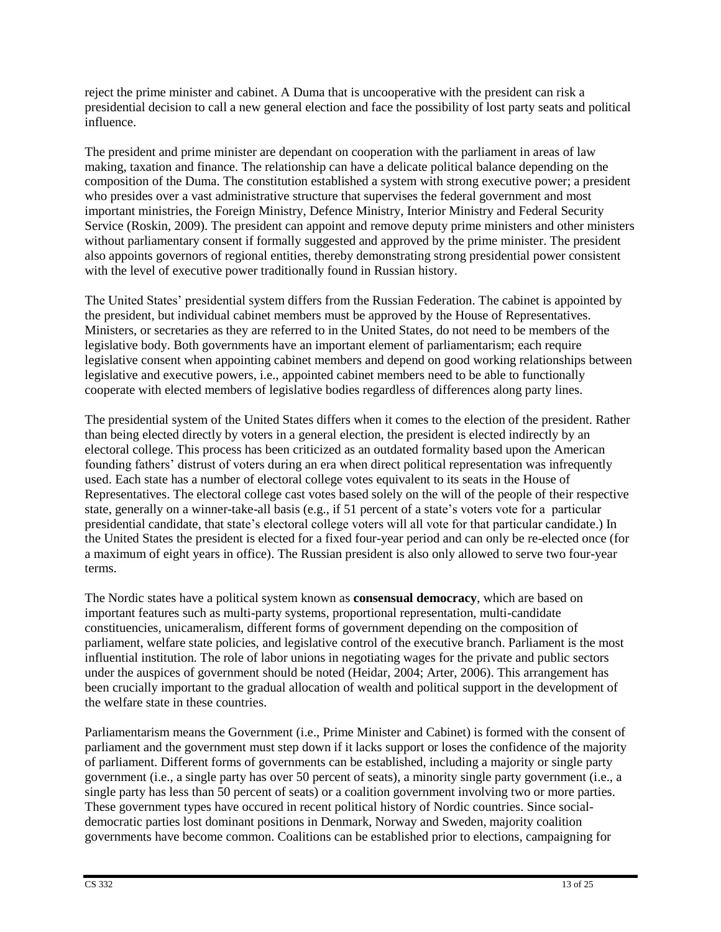reject the prime minister and cabinet. A Duma that is uncooperative with the president can risk a presidential decision to call a new general election and face the possibility of lost party seats and political influence.

The president and prime minister are dependant on cooperation with the parliament in areas of law making, taxation and finance. The relationship can have a delicate political balance depending on the composition of the Duma. The constitution established a system with strong executive power; a president who presides over a vast administrative structure that supervises the federal government and most important ministries, the Foreign Ministry, Defence Ministry, Interior Ministry and Federal Security Service (Roskin, 2009). The president can appoint and remove deputy prime ministers and other ministers without parliamentary consent if formally suggested and approved by the prime minister. The president also appoints governors of regional entities, thereby demonstrating strong presidential power consistent with the level of executive power traditionally found in Russian history.

The United States' presidential system differs from the Russian Federation. The cabinet is appointed by the president, but individual cabinet members must be approved by the House of Representatives. Ministers, or secretaries as they are referred to in the United States, do not need to be members of the legislative body. Both governments have an important element of parliamentarism; each require legislative consent when appointing cabinet members and depend on good working relationships between legislative and executive powers, i.e., appointed cabinet members need to be able to functionally cooperate with elected members of legislative bodies regardless of differences along party lines.

The presidential system of the United States differs when it comes to the election of the president. Rather than being elected directly by voters in a general election, the president is elected indirectly by an electoral college. This process has been criticized as an outdated formality based upon the American founding fathers' distrust of voters during an era when direct political representation was infrequently used. Each state has a number of electoral college votes equivalent to its seats in the House of Representatives. The electoral college cast votes based solely on the will of the people of their respective state, generally on a winner-take-all basis (e.g., if 51 percent of a state's voters vote for a particular presidential candidate, that state's electoral college voters will all vote for that particular candidate.) In the United States the president is elected for a fixed four-year period and can only be re-elected once (for a maximum of eight years in office). The Russian president is also only allowed to serve two four-year terms.

The Nordic states have a political system known as **consensual democracy**, which are based on important features such as multi-party systems, proportional representation, multi-candidate constituencies, unicameralism, different forms of government depending on the composition of parliament, welfare state policies, and legislative control of the executive branch. Parliament is the most influential institution. The role of labor unions in negotiating wages for the private and public sectors under the auspices of government should be noted (Heidar, 2004; Arter, 2006). This arrangement has been crucially important to the gradual allocation of wealth and political support in the development of the welfare state in these countries.

Parliamentarism means the Government (i.e., Prime Minister and Cabinet) is formed with the consent of parliament and the government must step down if it lacks support or loses the confidence of the majority of parliament. Different forms of governments can be established, including a majority or single party government (i.e., a single party has over 50 percent of seats), a minority single party government (i.e., a single party has less than 50 percent of seats) or a coalition government involving two or more parties. These government types have occured in recent political history of Nordic countries. Since socialdemocratic parties lost dominant positions in Denmark, Norway and Sweden, majority coalition governments have become common. Coalitions can be established prior to elections, campaigning for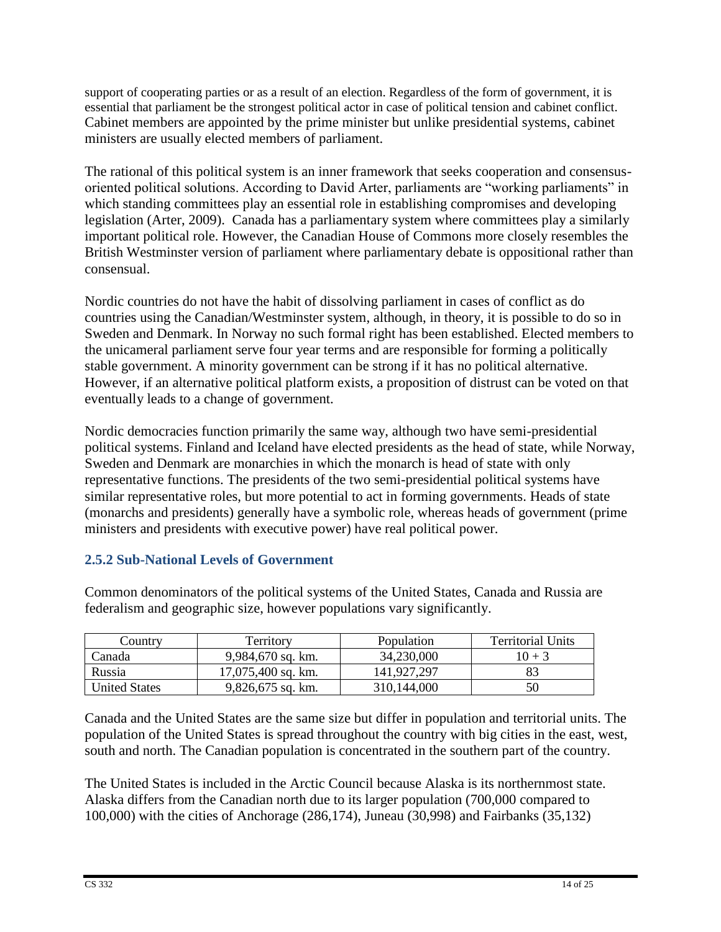support of cooperating parties or as a result of an election. Regardless of the form of government, it is essential that parliament be the strongest political actor in case of political tension and cabinet conflict. Cabinet members are appointed by the prime minister but unlike presidential systems, cabinet ministers are usually elected members of parliament.

The rational of this political system is an inner framework that seeks cooperation and consensusoriented political solutions. According to David Arter, parliaments are "working parliaments" in which standing committees play an essential role in establishing compromises and developing legislation (Arter, 2009). Canada has a parliamentary system where committees play a similarly important political role. However, the Canadian House of Commons more closely resembles the British Westminster version of parliament where parliamentary debate is oppositional rather than consensual.

Nordic countries do not have the habit of dissolving parliament in cases of conflict as do countries using the Canadian/Westminster system, although, in theory, it is possible to do so in Sweden and Denmark. In Norway no such formal right has been established. Elected members to the unicameral parliament serve four year terms and are responsible for forming a politically stable government. A minority government can be strong if it has no political alternative. However, if an alternative political platform exists, a proposition of distrust can be voted on that eventually leads to a change of government.

Nordic democracies function primarily the same way, although two have semi-presidential political systems. Finland and Iceland have elected presidents as the head of state, while Norway, Sweden and Denmark are monarchies in which the monarch is head of state with only representative functions. The presidents of the two semi-presidential political systems have similar representative roles, but more potential to act in forming governments. Heads of state (monarchs and presidents) generally have a symbolic role, whereas heads of government (prime ministers and presidents with executive power) have real political power.

# **2.5.2 Sub-National Levels of Government**

Common denominators of the political systems of the United States, Canada and Russia are federalism and geographic size, however populations vary significantly.

| Country       | Territory            | <b>Population</b> | <b>Territorial Units</b> |
|---------------|----------------------|-------------------|--------------------------|
| Canada        | $9,984,670$ sq. km.  | 34,230,000        | $10 + 3$                 |
| Russia        | $17,075,400$ sq. km. | 141.927.297       |                          |
| United States | $9,826,675$ sq. km.  | 310,144,000       |                          |

Canada and the United States are the same size but differ in population and territorial units. The population of the United States is spread throughout the country with big cities in the east, west, south and north. The Canadian population is concentrated in the southern part of the country.

The United States is included in the Arctic Council because Alaska is its northernmost state. Alaska differs from the Canadian north due to its larger population (700,000 compared to 100,000) with the cities of Anchorage (286,174), Juneau (30,998) and Fairbanks (35,132)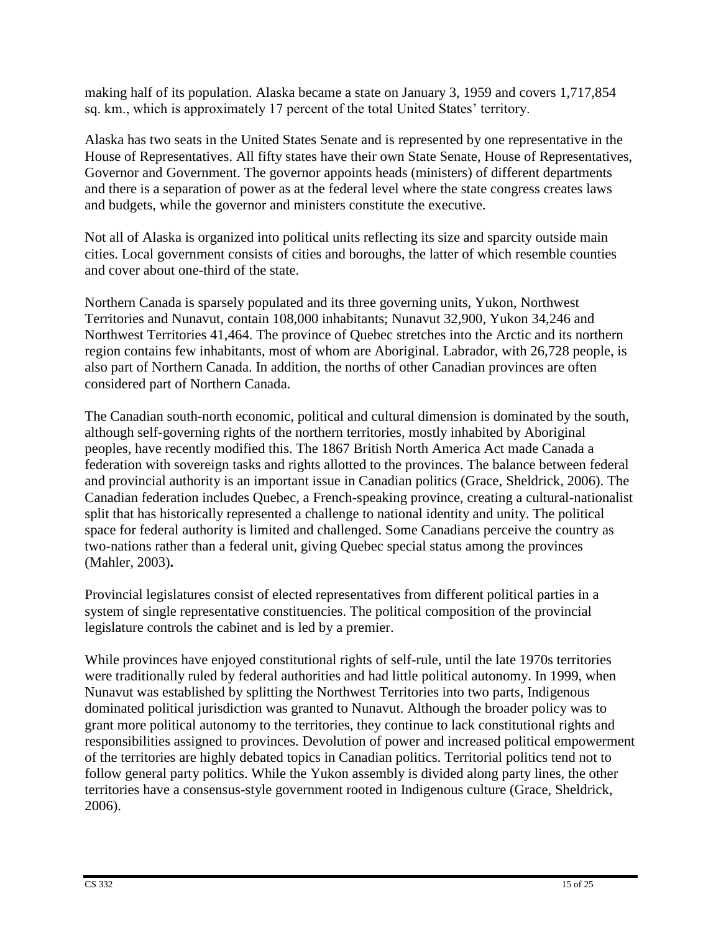making half of its population. Alaska became a state on January 3, 1959 and covers 1,717,854 sq. km., which is approximately 17 percent of the total United States' territory.

Alaska has two seats in the United States Senate and is represented by one representative in the House of Representatives. All fifty states have their own State Senate, House of Representatives, Governor and Government. The governor appoints heads (ministers) of different departments and there is a separation of power as at the federal level where the state congress creates laws and budgets, while the governor and ministers constitute the executive.

Not all of Alaska is organized into political units reflecting its size and sparcity outside main cities. Local government consists of cities and boroughs, the latter of which resemble counties and cover about one-third of the state.

Northern Canada is sparsely populated and its three governing units, Yukon, Northwest Territories and Nunavut, contain 108,000 inhabitants; Nunavut 32,900, Yukon 34,246 and Northwest Territories 41,464. The province of Quebec stretches into the Arctic and its northern region contains few inhabitants, most of whom are Aboriginal. Labrador, with 26,728 people, is also part of Northern Canada. In addition, the norths of other Canadian provinces are often considered part of Northern Canada.

The Canadian south-north economic, political and cultural dimension is dominated by the south, although self-governing rights of the northern territories, mostly inhabited by Aboriginal peoples, have recently modified this. The 1867 British North America Act made Canada a federation with sovereign tasks and rights allotted to the provinces. The balance between federal and provincial authority is an important issue in Canadian politics (Grace, Sheldrick, 2006). The Canadian federation includes Quebec, a French-speaking province, creating a cultural-nationalist split that has historically represented a challenge to national identity and unity. The political space for federal authority is limited and challenged. Some Canadians perceive the country as two-nations rather than a federal unit, giving Quebec special status among the provinces (Mahler, 2003)**.**

Provincial legislatures consist of elected representatives from different political parties in a system of single representative constituencies. The political composition of the provincial legislature controls the cabinet and is led by a premier.

While provinces have enjoyed constitutional rights of self-rule, until the late 1970s territories were traditionally ruled by federal authorities and had little political autonomy. In 1999, when Nunavut was established by splitting the Northwest Territories into two parts, Indigenous dominated political jurisdiction was granted to Nunavut. Although the broader policy was to grant more political autonomy to the territories, they continue to lack constitutional rights and responsibilities assigned to provinces. Devolution of power and increased political empowerment of the territories are highly debated topics in Canadian politics. Territorial politics tend not to follow general party politics. While the Yukon assembly is divided along party lines, the other territories have a consensus-style government rooted in Indigenous culture (Grace, Sheldrick, 2006).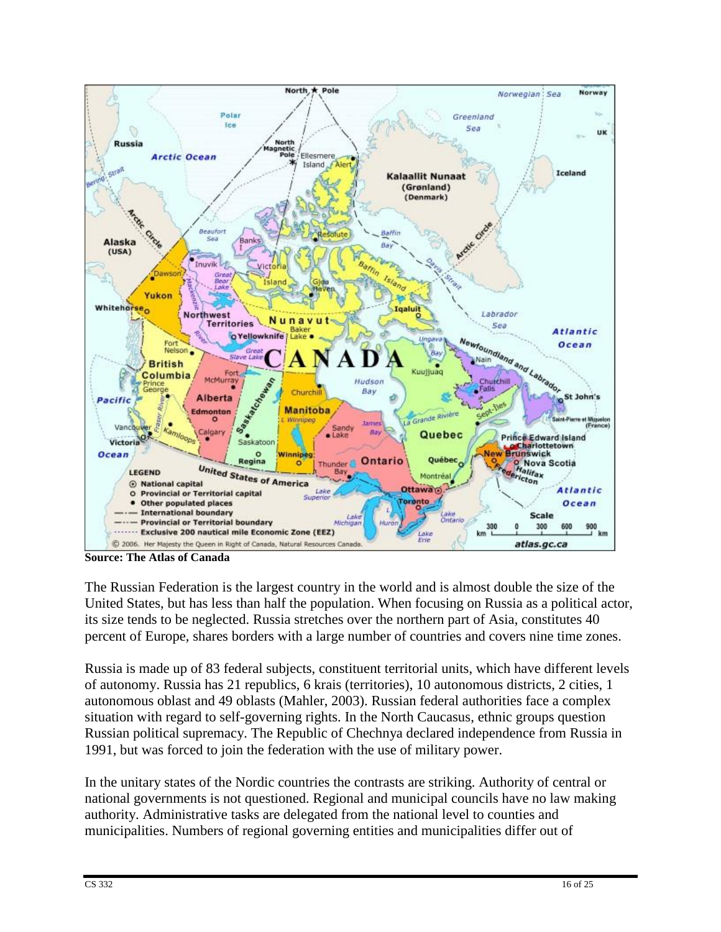

**Source: The Atlas of Canada**

The Russian Federation is the largest country in the world and is almost double the size of the United States, but has less than half the population. When focusing on Russia as a political actor, its size tends to be neglected. Russia stretches over the northern part of Asia, constitutes 40 percent of Europe, shares borders with a large number of countries and covers nine time zones.

Russia is made up of 83 federal subjects, constituent territorial units, which have different levels of autonomy. Russia has 21 republics, 6 krais (territories), 10 autonomous districts, 2 cities, 1 autonomous oblast and 49 oblasts (Mahler, 2003). Russian federal authorities face a complex situation with regard to self-governing rights. In the North Caucasus, ethnic groups question Russian political supremacy. The Republic of Chechnya declared independence from Russia in 1991, but was forced to join the federation with the use of military power.

In the unitary states of the Nordic countries the contrasts are striking. Authority of central or national governments is not questioned. Regional and municipal councils have no law making authority. Administrative tasks are delegated from the national level to counties and municipalities. Numbers of regional governing entities and municipalities differ out of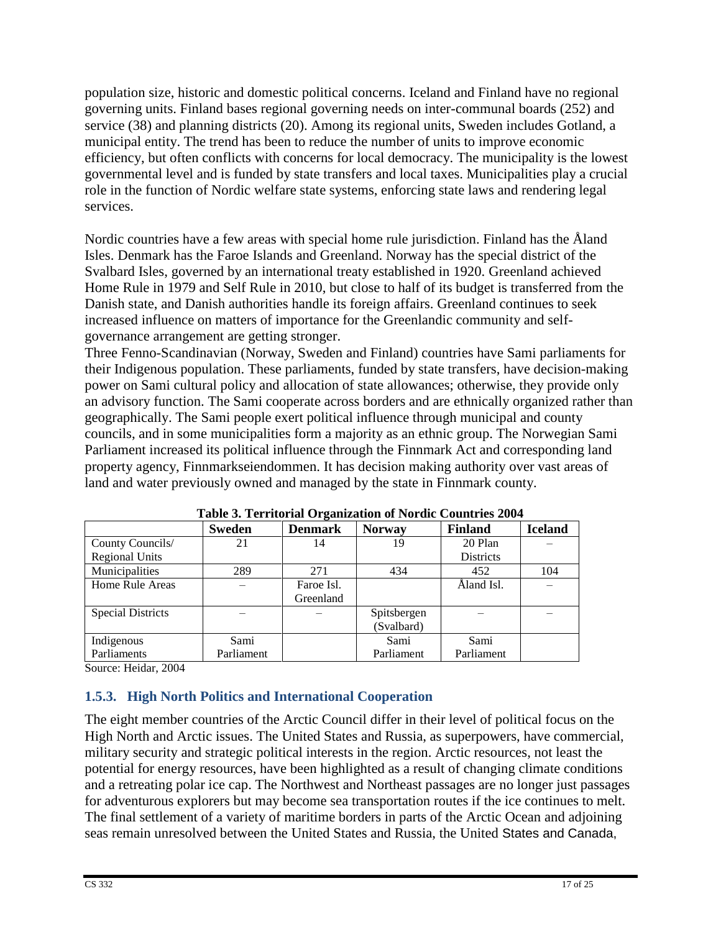population size, historic and domestic political concerns. Iceland and Finland have no regional governing units. Finland bases regional governing needs on inter-communal boards (252) and service (38) and planning districts (20). Among its regional units, Sweden includes Gotland, a municipal entity. The trend has been to reduce the number of units to improve economic efficiency, but often conflicts with concerns for local democracy. The municipality is the lowest governmental level and is funded by state transfers and local taxes. Municipalities play a crucial role in the function of Nordic welfare state systems, enforcing state laws and rendering legal services.

Nordic countries have a few areas with special home rule jurisdiction. Finland has the Åland Isles. Denmark has the Faroe Islands and Greenland. Norway has the special district of the Svalbard Isles, governed by an international treaty established in 1920. Greenland achieved Home Rule in 1979 and Self Rule in 2010, but close to half of its budget is transferred from the Danish state, and Danish authorities handle its foreign affairs. Greenland continues to seek increased influence on matters of importance for the Greenlandic community and selfgovernance arrangement are getting stronger.

Three Fenno-Scandinavian (Norway, Sweden and Finland) countries have Sami parliaments for their Indigenous population. These parliaments, funded by state transfers, have decision-making power on Sami cultural policy and allocation of state allowances; otherwise, they provide only an advisory function. The Sami cooperate across borders and are ethnically organized rather than geographically. The Sami people exert political influence through municipal and county councils, and in some municipalities form a majority as an ethnic group. The Norwegian Sami Parliament increased its political influence through the Finnmark Act and corresponding land property agency, Finnmarkseiendommen. It has decision making authority over vast areas of land and water previously owned and managed by the state in Finnmark county.

| Tuble of Territorian organization of Forum Countries 200 P |               |                |               |                  |                |  |
|------------------------------------------------------------|---------------|----------------|---------------|------------------|----------------|--|
|                                                            | <b>Sweden</b> | <b>Denmark</b> | <b>Norway</b> | <b>Finland</b>   | <b>Iceland</b> |  |
| County Councils/                                           | 21            | 14             | 19            | 20 Plan          |                |  |
| <b>Regional Units</b>                                      |               |                |               | <b>Districts</b> |                |  |
| Municipalities                                             | 289           | 271            | 434           | 452              | 104            |  |
| Home Rule Areas                                            |               | Faroe Isl.     |               | Åland Isl.       |                |  |
|                                                            |               | Greenland      |               |                  |                |  |
| <b>Special Districts</b>                                   |               |                | Spitsbergen   |                  |                |  |
|                                                            |               |                | (Svalbard)    |                  |                |  |
| Indigenous                                                 | Sami          |                | Sami          | Sami             |                |  |
| Parliaments                                                | Parliament    |                | Parliament    | Parliament       |                |  |

| Table 3. Territorial Organization of Nordic Countries 2004 |  |  |
|------------------------------------------------------------|--|--|
|                                                            |  |  |

Source: Heidar, 2004

# **1.5.3. High North Politics and International Cooperation**

The eight member countries of the Arctic Council differ in their level of political focus on the High North and Arctic issues. The United States and Russia, as superpowers, have commercial, military security and strategic political interests in the region. Arctic resources, not least the potential for energy resources, have been highlighted as a result of changing climate conditions and a retreating polar ice cap. The Northwest and Northeast passages are no longer just passages for adventurous explorers but may become sea transportation routes if the ice continues to melt. The final settlement of a variety of maritime borders in parts of the Arctic Ocean and adjoining seas remain unresolved between the United States and Russia, the United States and Canada,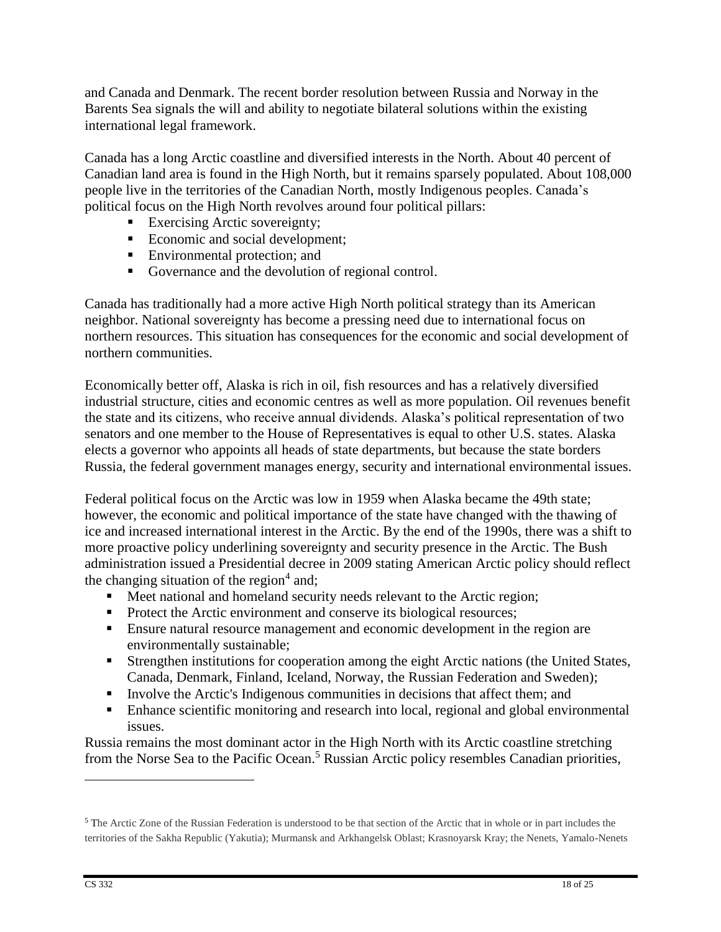and Canada and Denmark. The recent border resolution between Russia and Norway in the Barents Sea signals the will and ability to negotiate bilateral solutions within the existing international legal framework.

Canada has a long Arctic coastline and diversified interests in the North. About 40 percent of Canadian land area is found in the High North, but it remains sparsely populated. About 108,000 people live in the territories of the Canadian North, mostly Indigenous peoples. Canada's political focus on the High North revolves around four political pillars:

- **Exercising Arctic sovereignty;**
- Economic and social development;
- **Environmental protection; and**
- Governance and the devolution of regional control.

Canada has traditionally had a more active High North political strategy than its American neighbor. National sovereignty has become a pressing need due to international focus on northern resources. This situation has consequences for the economic and social development of northern communities.

Economically better off, Alaska is rich in oil, fish resources and has a relatively diversified industrial structure, cities and economic centres as well as more population. Oil revenues benefit the state and its citizens, who receive annual dividends. Alaska's political representation of two senators and one member to the House of Representatives is equal to other U.S. states. Alaska elects a governor who appoints all heads of state departments, but because the state borders Russia, the federal government manages energy, security and international environmental issues.

Federal political focus on the Arctic was low in 1959 when Alaska became the 49th state; however, the economic and political importance of the state have changed with the thawing of ice and increased international interest in the Arctic. By the end of the 1990s, there was a shift to more proactive policy underlining sovereignty and security presence in the Arctic. The Bush administration issued a Presidential decree in 2009 stating American Arctic policy should reflect the changing situation of the region $4$  and;

- Meet national and homeland security needs relevant to the Arctic region;
- Protect the Arctic environment and conserve its biological resources;
- Ensure natural resource management and economic development in the region are environmentally sustainable;
- Strengthen institutions for cooperation among the eight Arctic nations (the United States, Canada, Denmark, Finland, Iceland, Norway, the Russian Federation and Sweden);
- Involve the Arctic's Indigenous communities in decisions that affect them; and
- Enhance scientific monitoring and research into local, regional and global environmental issues.

Russia remains the most dominant actor in the High North with its Arctic coastline stretching from the Norse Sea to the Pacific Ocean.<sup>5</sup> Russian Arctic policy resembles Canadian priorities,

<sup>5</sup> The Arctic Zone of the Russian Federation is understood to be that section of the Arctic that in whole or in part includes the territories of the Sakha Republic (Yakutia); Murmansk and Arkhangelsk Oblast; Krasnoyarsk Kray; the Nenets, Yamalo-Nenets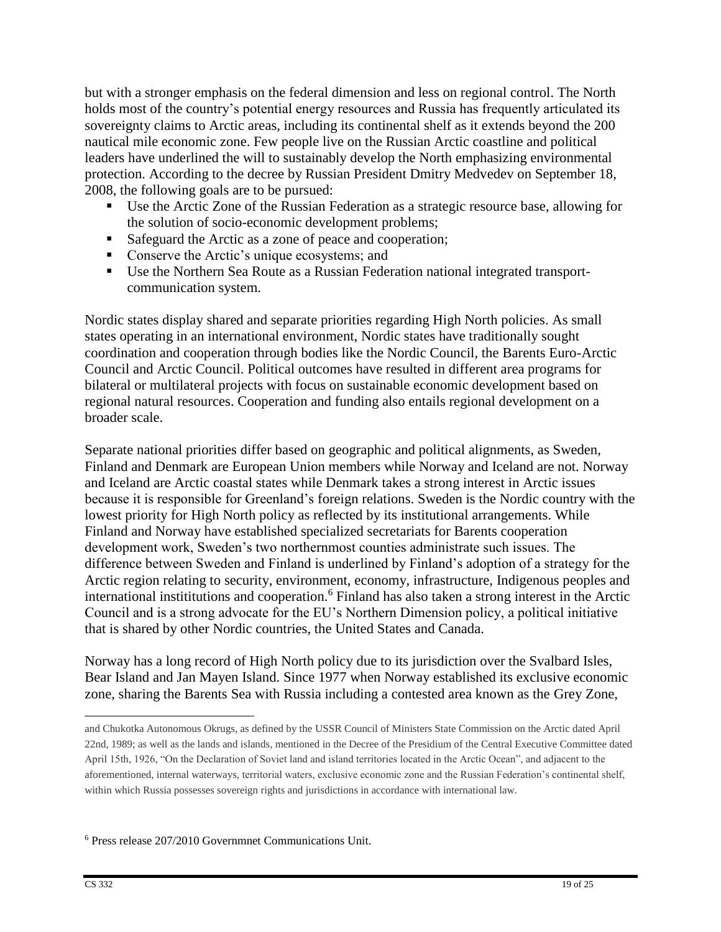but with a stronger emphasis on the federal dimension and less on regional control. The North holds most of the country's potential energy resources and Russia has frequently articulated its sovereignty claims to Arctic areas, including its continental shelf as it extends beyond the 200 nautical mile economic zone. Few people live on the Russian Arctic coastline and political leaders have underlined the will to sustainably develop the North emphasizing environmental protection. According to the decree by Russian President Dmitry Medvedev on September 18, 2008, the following goals are to be pursued:

- Use the Arctic Zone of the Russian Federation as a strategic resource base, allowing for the solution of socio-economic development problems;
- Safeguard the Arctic as a zone of peace and cooperation;
- Conserve the Arctic's unique ecosystems; and
- Use the Northern Sea Route as a Russian Federation national integrated transportcommunication system.

Nordic states display shared and separate priorities regarding High North policies. As small states operating in an international environment, Nordic states have traditionally sought coordination and cooperation through bodies like the Nordic Council, the Barents Euro-Arctic Council and Arctic Council. Political outcomes have resulted in different area programs for bilateral or multilateral projects with focus on sustainable economic development based on regional natural resources. Cooperation and funding also entails regional development on a broader scale.

Separate national priorities differ based on geographic and political alignments, as Sweden, Finland and Denmark are European Union members while Norway and Iceland are not. Norway and Iceland are Arctic coastal states while Denmark takes a strong interest in Arctic issues because it is responsible for Greenland's foreign relations. Sweden is the Nordic country with the lowest priority for High North policy as reflected by its institutional arrangements. While Finland and Norway have established specialized secretariats for Barents cooperation development work, Sweden's two northernmost counties administrate such issues. The difference between Sweden and Finland is underlined by Finland's adoption of a strategy for the Arctic region relating to security, environment, economy, infrastructure, Indigenous peoples and international instititutions and cooperation.<sup>6</sup> Finland has also taken a strong interest in the Arctic Council and is a strong advocate for the EU's Northern Dimension policy, a political initiative that is shared by other Nordic countries, the United States and Canada.

Norway has a long record of High North policy due to its jurisdiction over the Svalbard Isles, Bear Island and Jan Mayen Island. Since 1977 when Norway established its exclusive economic zone, sharing the Barents Sea with Russia including a contested area known as the Grey Zone,

<sup>6</sup> Press release 207/2010 Governmnet Communications Unit.

and Chukotka Autonomous Okrugs, as defined by the USSR Council of Ministers State Commission on the Arctic dated April 22nd, 1989; as well as the lands and islands, mentioned in the Decree of the Presidium of the Central Executive Committee dated April 15th, 1926, "On the Declaration of Soviet land and island territories located in the Arctic Ocean", and adjacent to the aforementioned, internal waterways, territorial waters, exclusive economic zone and the Russian Federation's continental shelf, within which Russia possesses sovereign rights and jurisdictions in accordance with international law.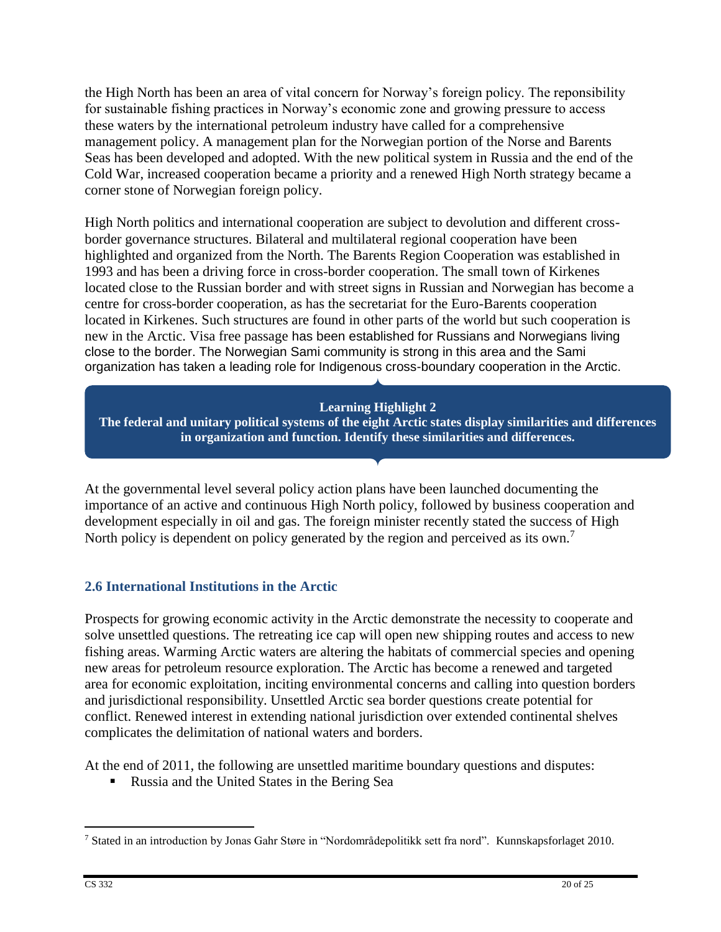the High North has been an area of vital concern for Norway's foreign policy. The reponsibility for sustainable fishing practices in Norway's economic zone and growing pressure to access these waters by the international petroleum industry have called for a comprehensive management policy. A management plan for the Norwegian portion of the Norse and Barents Seas has been developed and adopted. With the new political system in Russia and the end of the Cold War, increased cooperation became a priority and a renewed High North strategy became a corner stone of Norwegian foreign policy.

High North politics and international cooperation are subject to devolution and different crossborder governance structures. Bilateral and multilateral regional cooperation have been highlighted and organized from the North. The Barents Region Cooperation was established in 1993 and has been a driving force in cross-border cooperation. The small town of Kirkenes located close to the Russian border and with street signs in Russian and Norwegian has become a centre for cross-border cooperation, as has the secretariat for the Euro-Barents cooperation located in Kirkenes. Such structures are found in other parts of the world but such cooperation is new in the Arctic. Visa free passage has been established for Russians and Norwegians living close to the border. The Norwegian Sami community is strong in this area and the Sami organization has taken a leading role for Indigenous cross-boundary cooperation in the Arctic.

### **Learning Highlight 2**

**The federal and unitary political systems of the eight Arctic states display similarities and differences in organization and function. Identify these similarities and differences.**

At the governmental level several policy action plans have been launched documenting the importance of an active and continuous High North policy, followed by business cooperation and development especially in oil and gas. The foreign minister recently stated the success of High North policy is dependent on policy generated by the region and perceived as its own.<sup>7</sup>

### **2.6 International Institutions in the Arctic**

Prospects for growing economic activity in the Arctic demonstrate the necessity to cooperate and solve unsettled questions. The retreating ice cap will open new shipping routes and access to new fishing areas. Warming Arctic waters are altering the habitats of commercial species and opening new areas for petroleum resource exploration. The Arctic has become a renewed and targeted area for economic exploitation, inciting environmental concerns and calling into question borders and jurisdictional responsibility. Unsettled Arctic sea border questions create potential for conflict. Renewed interest in extending national jurisdiction over extended continental shelves complicates the delimitation of national waters and borders.

At the end of 2011, the following are unsettled maritime boundary questions and disputes:

Russia and the United States in the Bering Sea

<sup>7</sup> Stated in an introduction by Jonas Gahr Støre in "Nordområdepolitikk sett fra nord". Kunnskapsforlaget 2010.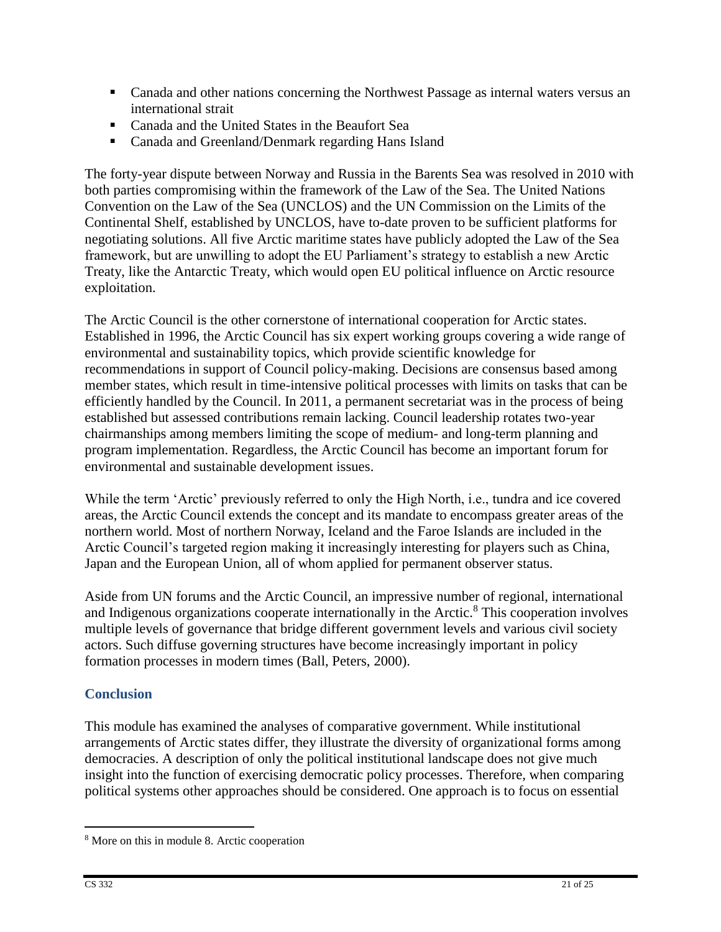- Canada and other nations concerning the Northwest Passage as internal waters versus an international strait
- Canada and the United States in the Beaufort Sea
- **Canada and Greenland/Denmark regarding Hans Island**

The forty-year dispute between Norway and Russia in the Barents Sea was resolved in 2010 with both parties compromising within the framework of the Law of the Sea. The United Nations Convention on the Law of the Sea (UNCLOS) and the UN Commission on the Limits of the Continental Shelf, established by UNCLOS, have to-date proven to be sufficient platforms for negotiating solutions. All five Arctic maritime states have publicly adopted the Law of the Sea framework, but are unwilling to adopt the EU Parliament's strategy to establish a new Arctic Treaty, like the Antarctic Treaty, which would open EU political influence on Arctic resource exploitation.

The Arctic Council is the other cornerstone of international cooperation for Arctic states. Established in 1996, the Arctic Council has six expert working groups covering a wide range of environmental and sustainability topics, which provide scientific knowledge for recommendations in support of Council policy-making. Decisions are consensus based among member states, which result in time-intensive political processes with limits on tasks that can be efficiently handled by the Council. In 2011, a permanent secretariat was in the process of being established but assessed contributions remain lacking. Council leadership rotates two-year chairmanships among members limiting the scope of medium- and long-term planning and program implementation. Regardless, the Arctic Council has become an important forum for environmental and sustainable development issues.

While the term 'Arctic' previously referred to only the High North, i.e., tundra and ice covered areas, the Arctic Council extends the concept and its mandate to encompass greater areas of the northern world. Most of northern Norway, Iceland and the Faroe Islands are included in the Arctic Council's targeted region making it increasingly interesting for players such as China, Japan and the European Union, all of whom applied for permanent observer status.

Aside from UN forums and the Arctic Council, an impressive number of regional, international and Indigenous organizations cooperate internationally in the Arctic.<sup>8</sup> This cooperation involves multiple levels of governance that bridge different government levels and various civil society actors. Such diffuse governing structures have become increasingly important in policy formation processes in modern times (Ball, Peters, 2000).

# **Conclusion**

This module has examined the analyses of comparative government. While institutional arrangements of Arctic states differ, they illustrate the diversity of organizational forms among democracies. A description of only the political institutional landscape does not give much insight into the function of exercising democratic policy processes. Therefore, when comparing political systems other approaches should be considered. One approach is to focus on essential

<sup>8</sup> More on this in module 8. Arctic cooperation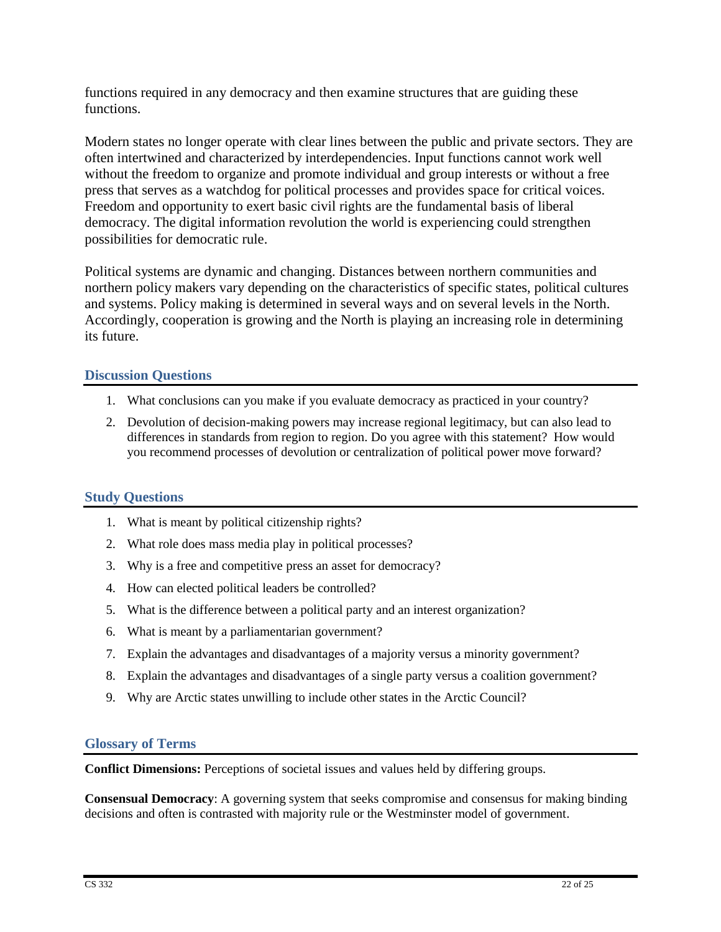functions required in any democracy and then examine structures that are guiding these functions.

Modern states no longer operate with clear lines between the public and private sectors. They are often intertwined and characterized by interdependencies. Input functions cannot work well without the freedom to organize and promote individual and group interests or without a free press that serves as a watchdog for political processes and provides space for critical voices. Freedom and opportunity to exert basic civil rights are the fundamental basis of liberal democracy. The digital information revolution the world is experiencing could strengthen possibilities for democratic rule.

Political systems are dynamic and changing. Distances between northern communities and northern policy makers vary depending on the characteristics of specific states, political cultures and systems. Policy making is determined in several ways and on several levels in the North. Accordingly, cooperation is growing and the North is playing an increasing role in determining its future.

### **Discussion Questions**

- 1. What conclusions can you make if you evaluate democracy as practiced in your country?
- 2. Devolution of decision-making powers may increase regional legitimacy, but can also lead to differences in standards from region to region. Do you agree with this statement? How would you recommend processes of devolution or centralization of political power move forward?

### **Study Questions**

- 1. What is meant by political citizenship rights?
- 2. What role does mass media play in political processes?
- 3. Why is a free and competitive press an asset for democracy?
- 4. How can elected political leaders be controlled?
- 5. What is the difference between a political party and an interest organization?
- 6. What is meant by a parliamentarian government?
- 7. Explain the advantages and disadvantages of a majority versus a minority government?
- 8. Explain the advantages and disadvantages of a single party versus a coalition government?
- 9. Why are Arctic states unwilling to include other states in the Arctic Council?

#### **Glossary of Terms**

**Conflict Dimensions:** Perceptions of societal issues and values held by differing groups.

**Consensual Democracy**: A governing system that seeks compromise and consensus for making binding decisions and often is contrasted with majority rule or the Westminster model of government.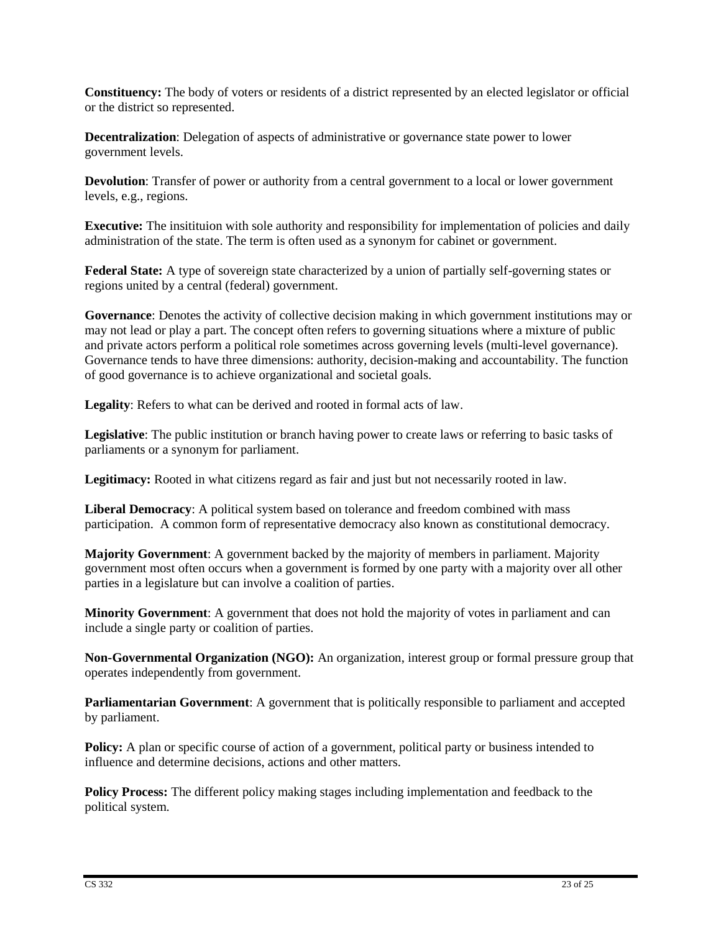**Constituency:** The body of voters or residents of a district represented by an elected legislator or official or the district so represented.

**Decentralization**: Delegation of aspects of administrative or governance state power to lower government levels.

**Devolution**: Transfer of power or authority from a central government to a local or lower government levels, e.g., regions.

**Executive:** The insitituion with sole authority and responsibility for implementation of policies and daily administration of the state. The term is often used as a synonym for cabinet or government.

**Federal State:** A type of sovereign state characterized by a union of partially self-governing states or regions united by a central (federal) government.

**Governance**: Denotes the activity of collective decision making in which government institutions may or may not lead or play a part. The concept often refers to governing situations where a mixture of public and private actors perform a political role sometimes across governing levels (multi-level governance). Governance tends to have three dimensions: authority, decision-making and accountability. The function of good governance is to achieve organizational and societal goals.

**Legality**: Refers to what can be derived and rooted in formal acts of law.

**Legislative**: The public institution or branch having power to create laws or referring to basic tasks of parliaments or a synonym for parliament.

**Legitimacy:** Rooted in what citizens regard as fair and just but not necessarily rooted in law.

**Liberal Democracy**: A political system based on tolerance and freedom combined with mass participation. A common form of representative democracy also known as constitutional democracy.

**Majority Government**: A government backed by the majority of members in parliament. Majority government most often occurs when a government is formed by one party with a majority over all other parties in a legislature but can involve a coalition of parties.

**Minority Government**: A government that does not hold the majority of votes in parliament and can include a single party or coalition of parties.

**Non-Governmental Organization (NGO):** An organization, interest group or formal pressure group that operates independently from government.

**Parliamentarian Government**: A government that is politically responsible to parliament and accepted by parliament.

**Policy:** A plan or specific course of action of a government, political party or business intended to influence and determine decisions, actions and other matters.

**Policy Process:** The different policy making stages including implementation and feedback to the political system.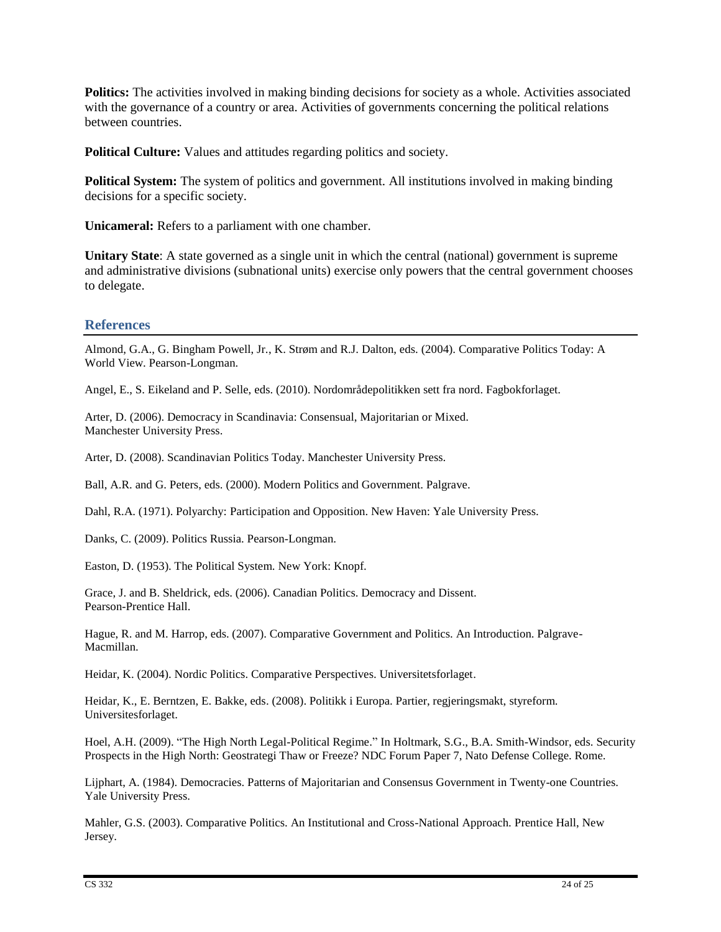**Politics:** The activities involved in making binding decisions for society as a whole. Activities associated with the governance of a country or area. Activities of governments concerning the political relations between countries.

**Political Culture:** Values and attitudes regarding politics and society.

**Political System:** The system of politics and government. All institutions involved in making binding decisions for a specific society.

**Unicameral:** Refers to a parliament with one chamber.

**Unitary State**: A state governed as a single unit in which the central (national) government is supreme and administrative divisions (subnational units) exercise only powers that the central government chooses to delegate.

#### **References**

Almond, G.A., G. Bingham Powell, Jr., K. Strøm and R.J. Dalton, eds. (2004). Comparative Politics Today: A World View. Pearson-Longman.

Angel, E., S. Eikeland and P. Selle, eds. (2010). Nordområdepolitikken sett fra nord. Fagbokforlaget.

Arter, D. (2006). Democracy in Scandinavia: Consensual, Majoritarian or Mixed. Manchester University Press.

Arter, D. (2008). Scandinavian Politics Today. Manchester University Press.

Ball, A.R. and G. Peters, eds. (2000). Modern Politics and Government. Palgrave.

Dahl, R.A. (1971). Polyarchy: Participation and Opposition. New Haven: Yale University Press.

Danks, C. (2009). Politics Russia. Pearson-Longman.

Easton, D. (1953). The Political System. New York: Knopf.

Grace, J. and B. Sheldrick, eds. (2006). Canadian Politics. Democracy and Dissent. Pearson-Prentice Hall.

Hague, R. and M. Harrop, eds. (2007). Comparative Government and Politics. An Introduction. Palgrave-Macmillan.

Heidar, K. (2004). Nordic Politics. Comparative Perspectives. Universitetsforlaget.

Heidar, K., E. Berntzen, E. Bakke, eds. (2008). Politikk i Europa. Partier, regjeringsmakt, styreform. Universitesforlaget.

Hoel, A.H. (2009). "The High North Legal-Political Regime." In Holtmark, S.G., B.A. Smith-Windsor, eds. Security Prospects in the High North: Geostrategi Thaw or Freeze? NDC Forum Paper 7, Nato Defense College. Rome.

Lijphart, A. (1984). Democracies. Patterns of Majoritarian and Consensus Government in Twenty-one Countries. Yale University Press.

Mahler, G.S. (2003). Comparative Politics. An Institutional and Cross-National Approach. Prentice Hall, New Jersey.